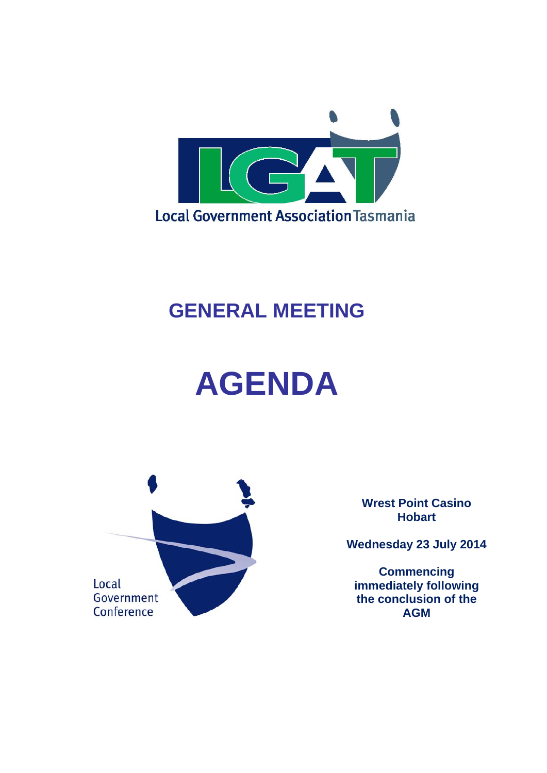Annexure 10 - Item D4 - July 2014



## **GENERAL MEETING**

# **AGENDA**



**Wrest Point Casino Hobart** 

**Wednesday 23 July 2014** 

**Commencing immediately following the conclusion of the AGM**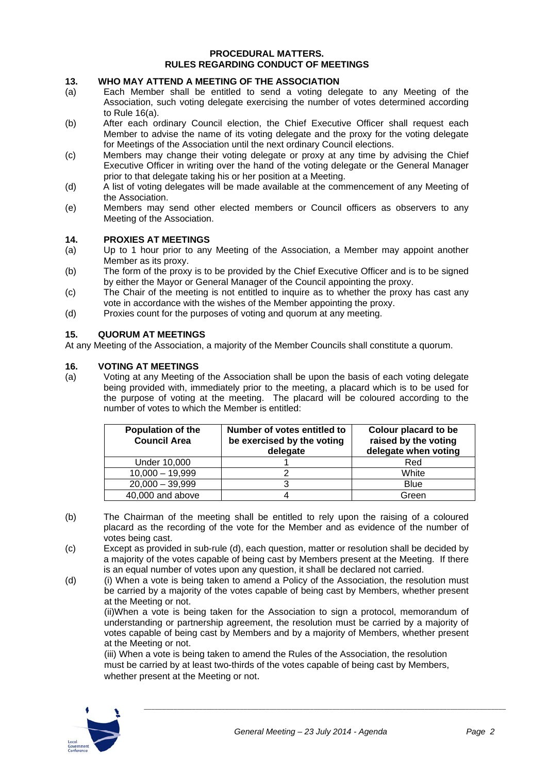#### **PROCEDURAL MATTERS. RULES REGARDING CONDUCT OF MEETINGS**

#### **13. WHO MAY ATTEND A MEETING OF THE ASSOCIATION**

- (a) Each Member shall be entitled to send a voting delegate to any Meeting of the Association, such voting delegate exercising the number of votes determined according to Rule 16(a).
- (b) After each ordinary Council election, the Chief Executive Officer shall request each Member to advise the name of its voting delegate and the proxy for the voting delegate for Meetings of the Association until the next ordinary Council elections.
- (c) Members may change their voting delegate or proxy at any time by advising the Chief Executive Officer in writing over the hand of the voting delegate or the General Manager prior to that delegate taking his or her position at a Meeting.
- (d) A list of voting delegates will be made available at the commencement of any Meeting of the Association.
- (e) Members may send other elected members or Council officers as observers to any Meeting of the Association.

#### **14. PROXIES AT MEETINGS**

- (a) Up to 1 hour prior to any Meeting of the Association, a Member may appoint another Member as its proxy.
- (b) The form of the proxy is to be provided by the Chief Executive Officer and is to be signed by either the Mayor or General Manager of the Council appointing the proxy.
- (c) The Chair of the meeting is not entitled to inquire as to whether the proxy has cast any vote in accordance with the wishes of the Member appointing the proxy.
- (d) Proxies count for the purposes of voting and quorum at any meeting.

#### **15. QUORUM AT MEETINGS**

At any Meeting of the Association, a majority of the Member Councils shall constitute a quorum.

#### **16. VOTING AT MEETINGS**

(a) Voting at any Meeting of the Association shall be upon the basis of each voting delegate being provided with, immediately prior to the meeting, a placard which is to be used for the purpose of voting at the meeting. The placard will be coloured according to the number of votes to which the Member is entitled:

| <b>Population of the</b><br><b>Council Area</b> | Number of votes entitled to<br>be exercised by the voting<br>delegate | Colour placard to be<br>raised by the voting<br>delegate when voting |
|-------------------------------------------------|-----------------------------------------------------------------------|----------------------------------------------------------------------|
| Under 10,000                                    |                                                                       | Red                                                                  |
| $10,000 - 19,999$                               |                                                                       | White                                                                |
| $20,000 - 39,999$                               |                                                                       | Blue                                                                 |
| 40,000 and above                                |                                                                       | Green                                                                |

- (b) The Chairman of the meeting shall be entitled to rely upon the raising of a coloured placard as the recording of the vote for the Member and as evidence of the number of votes being cast.
- (c) Except as provided in sub-rule (d), each question, matter or resolution shall be decided by a majority of the votes capable of being cast by Members present at the Meeting. If there is an equal number of votes upon any question, it shall be declared not carried.
- (d) (i) When a vote is being taken to amend a Policy of the Association, the resolution must be carried by a majority of the votes capable of being cast by Members, whether present at the Meeting or not.

 (ii)When a vote is being taken for the Association to sign a protocol, memorandum of understanding or partnership agreement, the resolution must be carried by a majority of votes capable of being cast by Members and by a majority of Members, whether present at the Meeting or not.

(iii) When a vote is being taken to amend the Rules of the Association, the resolution must be carried by at least two-thirds of the votes capable of being cast by Members, whether present at the Meeting or not.

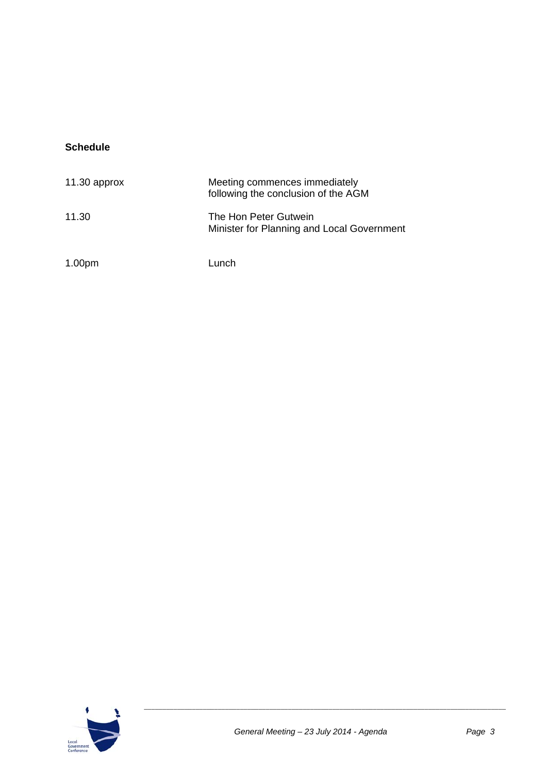## **Schedule**

| $11.30$ approx     | Meeting commences immediately<br>following the conclusion of the AGM |
|--------------------|----------------------------------------------------------------------|
| 11.30              | The Hon Peter Gutwein<br>Minister for Planning and Local Government  |
| 1.00 <sub>pm</sub> | Lunch                                                                |

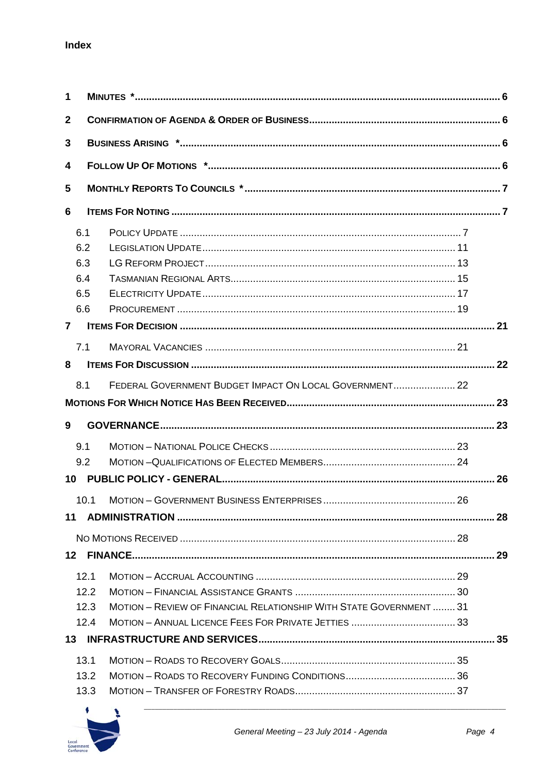| $\mathbf 1$    |                                                                             |  |  |
|----------------|-----------------------------------------------------------------------------|--|--|
| $\mathbf{2}$   |                                                                             |  |  |
| 3              |                                                                             |  |  |
| 4              |                                                                             |  |  |
| 5              |                                                                             |  |  |
| 6              |                                                                             |  |  |
| 6.1            |                                                                             |  |  |
| 6.2            |                                                                             |  |  |
| 6.3            |                                                                             |  |  |
| 6.4            |                                                                             |  |  |
| 6.5            |                                                                             |  |  |
| 6.6            |                                                                             |  |  |
| $\overline{7}$ |                                                                             |  |  |
| 7.1            |                                                                             |  |  |
| 8              |                                                                             |  |  |
|                |                                                                             |  |  |
| 8.1            | FEDERAL GOVERNMENT BUDGET IMPACT ON LOCAL GOVERNMENT 22                     |  |  |
|                |                                                                             |  |  |
| 9              |                                                                             |  |  |
| 9.1            |                                                                             |  |  |
| 9.2            |                                                                             |  |  |
| 10             |                                                                             |  |  |
|                |                                                                             |  |  |
| 11             |                                                                             |  |  |
|                |                                                                             |  |  |
|                |                                                                             |  |  |
|                | 12.1                                                                        |  |  |
|                | 12.2                                                                        |  |  |
|                | MOTION - REVIEW OF FINANCIAL RELATIONSHIP WITH STATE GOVERNMENT  31<br>12.3 |  |  |
|                | 12.4                                                                        |  |  |
|                |                                                                             |  |  |
|                | 13.1                                                                        |  |  |
|                | 13.2                                                                        |  |  |
|                | 13.3                                                                        |  |  |
|                |                                                                             |  |  |

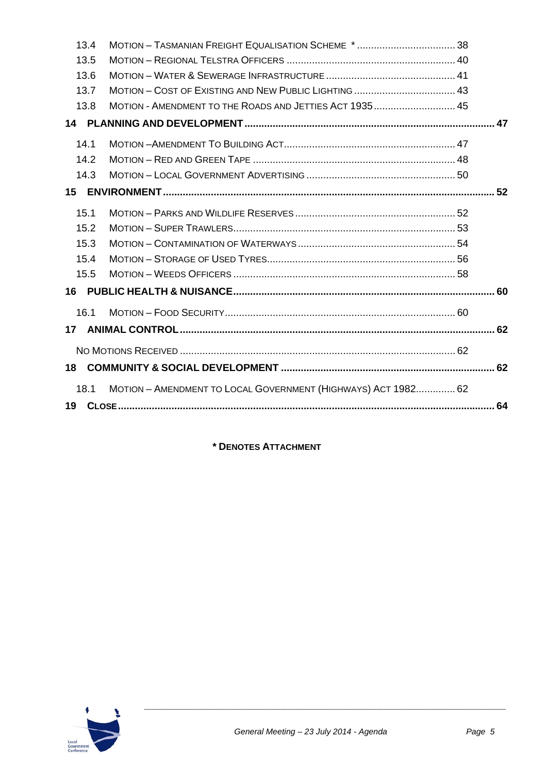## Annexure 10 - Item D4 - July 2014

| 13.4            |                                                               |  |
|-----------------|---------------------------------------------------------------|--|
| 13.5            |                                                               |  |
|                 | 13.6                                                          |  |
|                 | 13.7                                                          |  |
| 13.8            | MOTION - AMENDMENT TO THE ROADS AND JETTIES ACT 1935 45       |  |
|                 |                                                               |  |
| 14.1            |                                                               |  |
|                 | 14.2                                                          |  |
|                 | 14.3                                                          |  |
| 15              |                                                               |  |
|                 |                                                               |  |
| 15.1            |                                                               |  |
| 15.2            |                                                               |  |
|                 | 15.3                                                          |  |
| 15.4            |                                                               |  |
|                 | 15.5                                                          |  |
| 16              |                                                               |  |
| 16.1            |                                                               |  |
| 17 <sup>7</sup> |                                                               |  |
|                 |                                                               |  |
|                 |                                                               |  |
| 18              |                                                               |  |
| 18.1            | MOTION - AMENDMENT TO LOCAL GOVERNMENT (HIGHWAYS) ACT 1982 62 |  |
| 19              |                                                               |  |
|                 |                                                               |  |

**\* DENOTES ATTACHMENT**

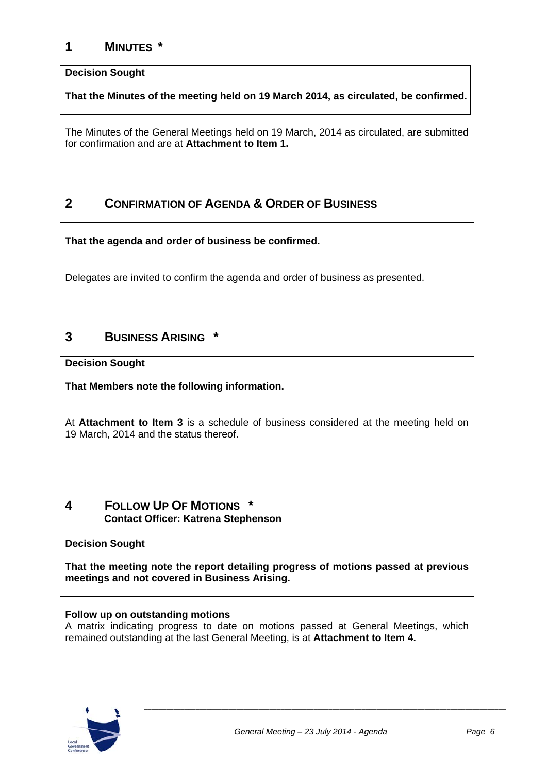## **1 MINUTES \***

#### **Decision Sought**

**That the Minutes of the meeting held on 19 March 2014, as circulated, be confirmed.** 

The Minutes of the General Meetings held on 19 March, 2014 as circulated, are submitted for confirmation and are at **Attachment to Item 1.**

## **2 CONFIRMATION OF AGENDA & ORDER OF BUSINESS**

**That the agenda and order of business be confirmed.** 

Delegates are invited to confirm the agenda and order of business as presented.

## **3 BUSINESS ARISING \***

#### **Decision Sought**

**That Members note the following information.** 

At **Attachment to Item 3** is a schedule of business considered at the meeting held on 19 March, 2014 and the status thereof.

## **4 FOLLOW UP OF MOTIONS \* Contact Officer: Katrena Stephenson**

#### **Decision Sought**

**That the meeting note the report detailing progress of motions passed at previous meetings and not covered in Business Arising.** 

#### **Follow up on outstanding motions**

A matrix indicating progress to date on motions passed at General Meetings, which remained outstanding at the last General Meeting, is at **Attachment to Item 4.**

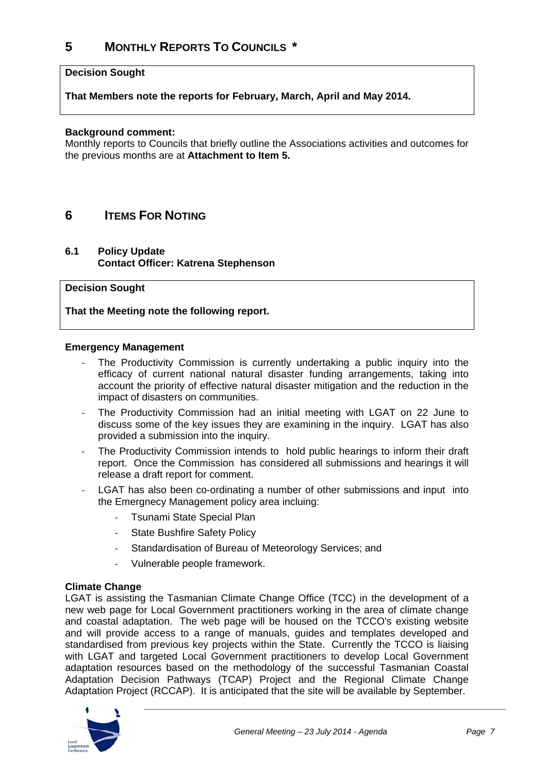## **5 MONTHLY REPORTS TO COUNCILS \***

#### **Decision Sought**

**That Members note the reports for February, March, April and May 2014.** 

#### **Background comment:**

Monthly reports to Councils that briefly outline the Associations activities and outcomes for the previous months are at **Attachment to Item 5.**

## **6 ITEMS FOR NOTING**

#### **6.1 Policy Update Contact Officer: Katrena Stephenson**

#### **Decision Sought**

**That the Meeting note the following report.** 

#### **Emergency Management**

- ‐ The Productivity Commission is currently undertaking a public inquiry into the efficacy of current national natural disaster funding arrangements, taking into account the priority of effective natural disaster mitigation and the reduction in the impact of disasters on communities.
- The Productivity Commission had an initial meeting with LGAT on 22 June to discuss some of the key issues they are examining in the inquiry. LGAT has also provided a submission into the inquiry.
- The Productivity Commission intends to hold public hearings to inform their draft report. Once the Commission has considered all submissions and hearings it will release a draft report for comment.
- ‐ LGAT has also been co-ordinating a number of other submissions and input into the Emergnecy Management policy area incluing:
	- ‐ Tsunami State Special Plan
	- ‐ State Bushfire Safety Policy
	- Standardisation of Bureau of Meteorology Services; and
	- ‐ Vulnerable people framework.

#### **Climate Change**

LGAT is assisting the Tasmanian Climate Change Office (TCC) in the development of a new web page for Local Government practitioners working in the area of climate change and coastal adaptation. The web page will be housed on the TCCO's existing website and will provide access to a range of manuals, guides and templates developed and standardised from previous key projects within the State. Currently the TCCO is liaising with LGAT and targeted Local Government practitioners to develop Local Government adaptation resources based on the methodology of the successful Tasmanian Coastal Adaptation Decision Pathways (TCAP) Project and the Regional Climate Change Adaptation Project (RCCAP). It is anticipated that the site will be available by September.

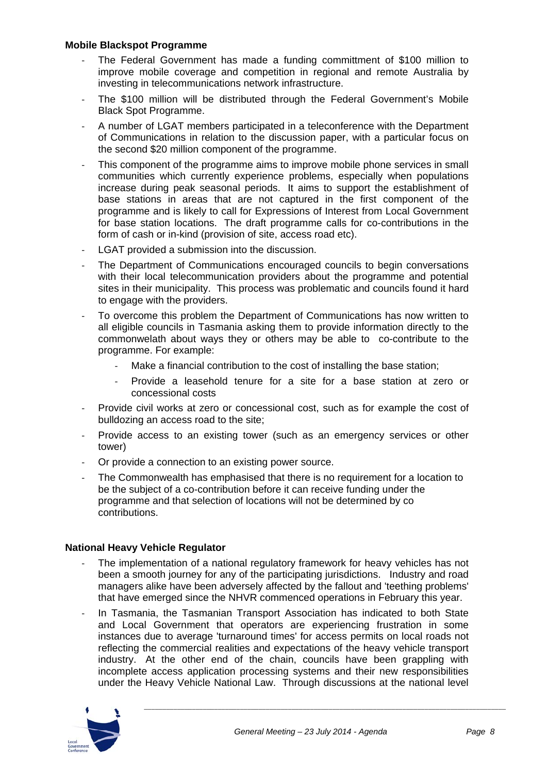#### **Mobile Blackspot Programme**

- ‐ The Federal Government has made a funding committment of \$100 million to improve mobile coverage and competition in regional and remote Australia by investing in telecommunications network infrastructure.
- ‐ The \$100 million will be distributed through the Federal Government's Mobile Black Spot Programme.
- ‐ A number of LGAT members participated in a teleconference with the Department of Communications in relation to the discussion paper, with a particular focus on the second \$20 million component of the programme.
- ‐ This component of the programme aims to improve mobile phone services in small communities which currently experience problems, especially when populations increase during peak seasonal periods. It aims to support the establishment of base stations in areas that are not captured in the first component of the programme and is likely to call for Expressions of Interest from Local Government for base station locations. The draft programme calls for co-contributions in the form of cash or in-kind (provision of site, access road etc).
- ‐ LGAT provided a submission into the discussion.
- ‐ The Department of Communications encouraged councils to begin conversations with their local telecommunication providers about the programme and potential sites in their municipality. This process was problematic and councils found it hard to engage with the providers.
- ‐ To overcome this problem the Department of Communications has now written to all eligible councils in Tasmania asking them to provide information directly to the commonwelath about ways they or others may be able to co-contribute to the programme. For example:
	- Make a financial contribution to the cost of installing the base station:
	- ‐ Provide a leasehold tenure for a site for a base station at zero or concessional costs
- ‐ Provide civil works at zero or concessional cost, such as for example the cost of bulldozing an access road to the site;
- ‐ Provide access to an existing tower (such as an emergency services or other tower)
- ‐ Or provide a connection to an existing power source.
- The Commonwealth has emphasised that there is no requirement for a location to be the subject of a co-contribution before it can receive funding under the programme and that selection of locations will not be determined by co contributions.

#### **National Heavy Vehicle Regulator**

- The implementation of a national regulatory framework for heavy vehicles has not been a smooth journey for any of the participating jurisdictions. Industry and road managers alike have been adversely affected by the fallout and 'teething problems' that have emerged since the NHVR commenced operations in February this year.
- In Tasmania, the Tasmanian Transport Association has indicated to both State and Local Government that operators are experiencing frustration in some instances due to average 'turnaround times' for access permits on local roads not reflecting the commercial realities and expectations of the heavy vehicle transport industry. At the other end of the chain, councils have been grappling with incomplete access application processing systems and their new responsibilities under the Heavy Vehicle National Law. Through discussions at the national level

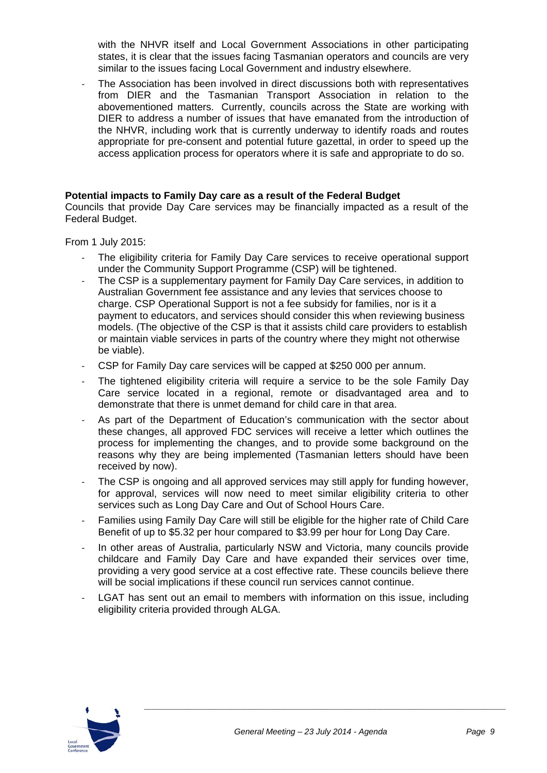with the NHVR itself and Local Government Associations in other participating states, it is clear that the issues facing Tasmanian operators and councils are very similar to the issues facing Local Government and industry elsewhere.

‐ The Association has been involved in direct discussions both with representatives from DIER and the Tasmanian Transport Association in relation to the abovementioned matters. Currently, councils across the State are working with DIER to address a number of issues that have emanated from the introduction of the NHVR, including work that is currently underway to identify roads and routes appropriate for pre-consent and potential future gazettal, in order to speed up the access application process for operators where it is safe and appropriate to do so.

#### **Potential impacts to Family Day care as a result of the Federal Budget**

Councils that provide Day Care services may be financially impacted as a result of the Federal Budget.

From 1 July 2015:

- ‐ The eligibility criteria for Family Day Care services to receive operational support under the Community Support Programme (CSP) will be tightened.
- The CSP is a supplementary payment for Family Day Care services, in addition to Australian Government fee assistance and any levies that services choose to charge. CSP Operational Support is not a fee subsidy for families, nor is it a payment to educators, and services should consider this when reviewing business models. (The objective of the CSP is that it assists child care providers to establish or maintain viable services in parts of the country where they might not otherwise be viable).
- ‐ CSP for Family Day care services will be capped at \$250 000 per annum.
- The tightened eligibility criteria will require a service to be the sole Family Day Care service located in a regional, remote or disadvantaged area and to demonstrate that there is unmet demand for child care in that area.
- ‐ As part of the Department of Education's communication with the sector about these changes, all approved FDC services will receive a letter which outlines the process for implementing the changes, and to provide some background on the reasons why they are being implemented (Tasmanian letters should have been received by now).
- The CSP is ongoing and all approved services may still apply for funding however, for approval, services will now need to meet similar eligibility criteria to other services such as Long Day Care and Out of School Hours Care.
- ‐ Families using Family Day Care will still be eligible for the higher rate of Child Care Benefit of up to \$5.32 per hour compared to \$3.99 per hour for Long Day Care.
- ‐ In other areas of Australia, particularly NSW and Victoria, many councils provide childcare and Family Day Care and have expanded their services over time, providing a very good service at a cost effective rate. These councils believe there will be social implications if these council run services cannot continue.
- ‐ LGAT has sent out an email to members with information on this issue, including eligibility criteria provided through ALGA.

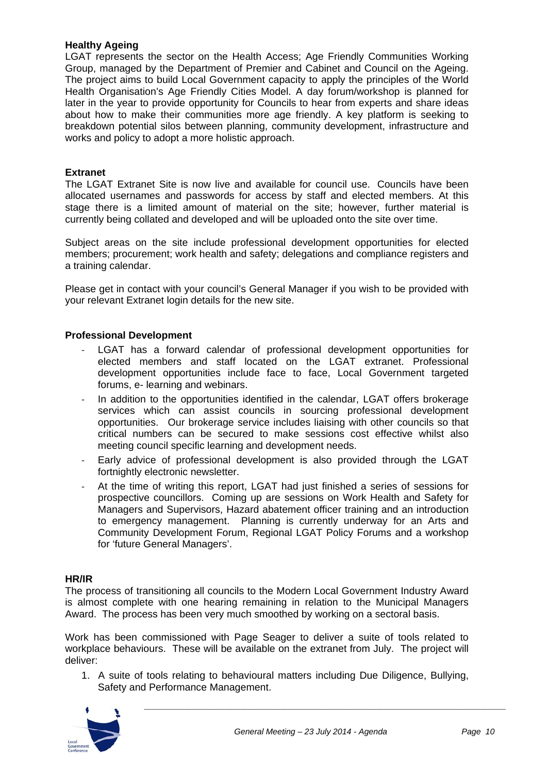#### **Healthy Ageing**

LGAT represents the sector on the Health Access; Age Friendly Communities Working Group, managed by the Department of Premier and Cabinet and Council on the Ageing. The project aims to build Local Government capacity to apply the principles of the World Health Organisation's Age Friendly Cities Model. A day forum/workshop is planned for later in the year to provide opportunity for Councils to hear from experts and share ideas about how to make their communities more age friendly. A key platform is seeking to breakdown potential silos between planning, community development, infrastructure and works and policy to adopt a more holistic approach.

#### **Extranet**

The LGAT Extranet Site is now live and available for council use. Councils have been allocated usernames and passwords for access by staff and elected members. At this stage there is a limited amount of material on the site; however, further material is currently being collated and developed and will be uploaded onto the site over time.

Subject areas on the site include professional development opportunities for elected members; procurement; work health and safety; delegations and compliance registers and a training calendar.

Please get in contact with your council's General Manager if you wish to be provided with your relevant Extranet login details for the new site.

#### **Professional Development**

- ‐ LGAT has a forward calendar of professional development opportunities for elected members and staff located on the LGAT extranet. Professional development opportunities include face to face, Local Government targeted forums, e- learning and webinars.
- ‐ In addition to the opportunities identified in the calendar, LGAT offers brokerage services which can assist councils in sourcing professional development opportunities. Our brokerage service includes liaising with other councils so that critical numbers can be secured to make sessions cost effective whilst also meeting council specific learning and development needs.
- ‐ Early advice of professional development is also provided through the LGAT fortnightly electronic newsletter.
- At the time of writing this report, LGAT had just finished a series of sessions for prospective councillors. Coming up are sessions on Work Health and Safety for Managers and Supervisors, Hazard abatement officer training and an introduction to emergency management. Planning is currently underway for an Arts and Community Development Forum, Regional LGAT Policy Forums and a workshop for 'future General Managers'.

#### **HR/IR**

The process of transitioning all councils to the Modern Local Government Industry Award is almost complete with one hearing remaining in relation to the Municipal Managers Award. The process has been very much smoothed by working on a sectoral basis.

Work has been commissioned with Page Seager to deliver a suite of tools related to workplace behaviours. These will be available on the extranet from July. The project will deliver:

1. A suite of tools relating to behavioural matters including Due Diligence, Bullying, Safety and Performance Management.

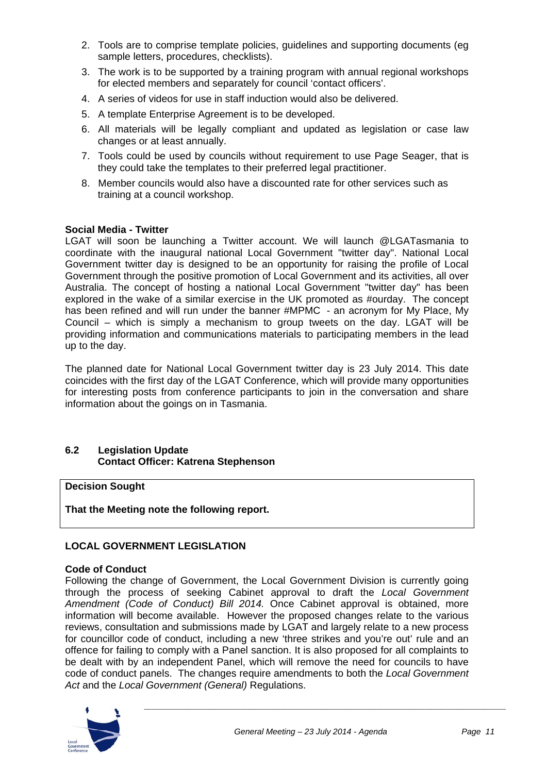- 2. Tools are to comprise template policies, guidelines and supporting documents (eg sample letters, procedures, checklists).
- 3. The work is to be supported by a training program with annual regional workshops for elected members and separately for council 'contact officers'.
- 4. A series of videos for use in staff induction would also be delivered.
- 5. A template Enterprise Agreement is to be developed.
- 6. All materials will be legally compliant and updated as legislation or case law changes or at least annually.
- 7. Tools could be used by councils without requirement to use Page Seager, that is they could take the templates to their preferred legal practitioner.
- 8. Member councils would also have a discounted rate for other services such as training at a council workshop.

#### **Social Media - Twitter**

LGAT will soon be launching a Twitter account. We will launch @LGATasmania to coordinate with the inaugural national Local Government "twitter day". National Local Government twitter day is designed to be an opportunity for raising the profile of Local Government through the positive promotion of Local Government and its activities, all over Australia. The concept of hosting a national Local Government "twitter day" has been explored in the wake of a similar exercise in the UK promoted as #ourday. The concept has been refined and will run under the banner #MPMC - an acronym for My Place, My Council – which is simply a mechanism to group tweets on the day. LGAT will be providing information and communications materials to participating members in the lead up to the day.

The planned date for National Local Government twitter day is 23 July 2014. This date coincides with the first day of the LGAT Conference, which will provide many opportunities for interesting posts from conference participants to join in the conversation and share information about the goings on in Tasmania.

#### **6.2 Legislation Update Contact Officer: Katrena Stephenson**

#### **Decision Sought**

**That the Meeting note the following report.** 

#### **LOCAL GOVERNMENT LEGISLATION**

#### **Code of Conduct**

Following the change of Government, the Local Government Division is currently going through the process of seeking Cabinet approval to draft the *Local Government Amendment (Code of Conduct) Bill 2014.* Once Cabinet approval is obtained, more information will become available. However the proposed changes relate to the various reviews, consultation and submissions made by LGAT and largely relate to a new process for councillor code of conduct, including a new 'three strikes and you're out' rule and an offence for failing to comply with a Panel sanction. It is also proposed for all complaints to be dealt with by an independent Panel, which will remove the need for councils to have code of conduct panels. The changes require amendments to both the *Local Government Act* and the *Local Government (General)* Regulations.

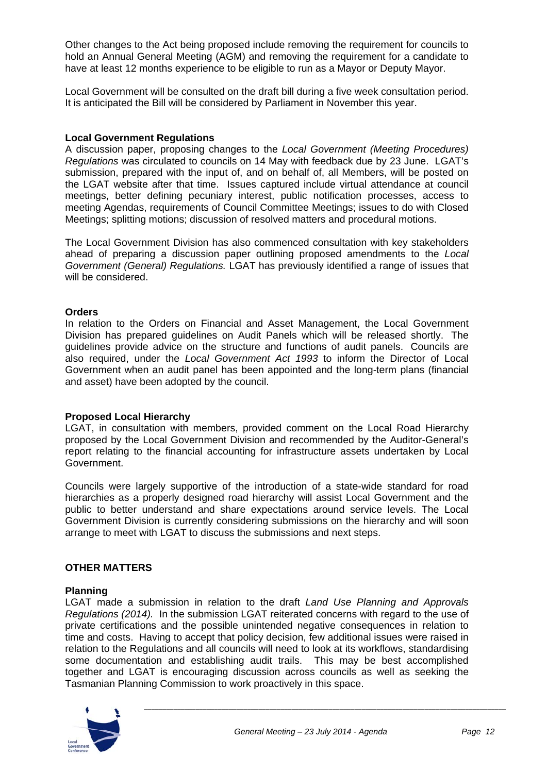Other changes to the Act being proposed include removing the requirement for councils to hold an Annual General Meeting (AGM) and removing the requirement for a candidate to have at least 12 months experience to be eligible to run as a Mayor or Deputy Mayor.

Local Government will be consulted on the draft bill during a five week consultation period. It is anticipated the Bill will be considered by Parliament in November this year.

#### **Local Government Regulations**

A discussion paper, proposing changes to the *Local Government (Meeting Procedures) Regulations* was circulated to councils on 14 May with feedback due by 23 June. LGAT's submission, prepared with the input of, and on behalf of, all Members, will be posted on the LGAT website after that time. Issues captured include virtual attendance at council meetings, better defining pecuniary interest, public notification processes, access to meeting Agendas, requirements of Council Committee Meetings; issues to do with Closed Meetings; splitting motions; discussion of resolved matters and procedural motions.

The Local Government Division has also commenced consultation with key stakeholders ahead of preparing a discussion paper outlining proposed amendments to the *Local Government (General) Regulations.* LGAT has previously identified a range of issues that will be considered.

#### **Orders**

In relation to the Orders on Financial and Asset Management, the Local Government Division has prepared guidelines on Audit Panels which will be released shortly. The guidelines provide advice on the structure and functions of audit panels. Councils are also required, under the *Local Government Act 1993* to inform the Director of Local Government when an audit panel has been appointed and the long-term plans (financial and asset) have been adopted by the council.

#### **Proposed Local Hierarchy**

LGAT, in consultation with members, provided comment on the Local Road Hierarchy proposed by the Local Government Division and recommended by the Auditor-General's report relating to the financial accounting for infrastructure assets undertaken by Local Government.

Councils were largely supportive of the introduction of a state-wide standard for road hierarchies as a properly designed road hierarchy will assist Local Government and the public to better understand and share expectations around service levels. The Local Government Division is currently considering submissions on the hierarchy and will soon arrange to meet with LGAT to discuss the submissions and next steps.

#### **OTHER MATTERS**

#### **Planning**

LGAT made a submission in relation to the draft *Land Use Planning and Approvals Regulations (2014).* In the submission LGAT reiterated concerns with regard to the use of private certifications and the possible unintended negative consequences in relation to time and costs. Having to accept that policy decision, few additional issues were raised in relation to the Regulations and all councils will need to look at its workflows, standardising some documentation and establishing audit trails. This may be best accomplished together and LGAT is encouraging discussion across councils as well as seeking the Tasmanian Planning Commission to work proactively in this space.

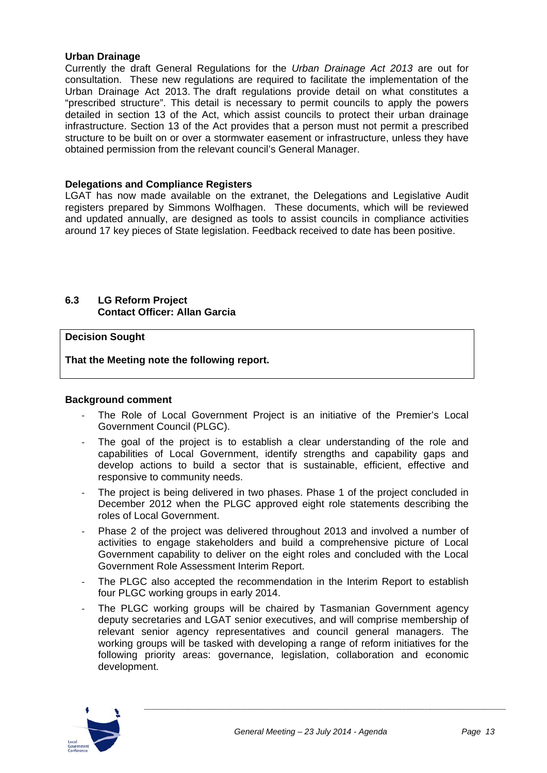#### **Urban Drainage**

Currently the draft General Regulations for the *Urban Drainage Act 2013* are out for consultation. These new regulations are required to facilitate the implementation of the Urban Drainage Act 2013. The draft regulations provide detail on what constitutes a "prescribed structure". This detail is necessary to permit councils to apply the powers detailed in section 13 of the Act, which assist councils to protect their urban drainage infrastructure. Section 13 of the Act provides that a person must not permit a prescribed structure to be built on or over a stormwater easement or infrastructure, unless they have obtained permission from the relevant council's General Manager.

#### **Delegations and Compliance Registers**

LGAT has now made available on the extranet, the Delegations and Legislative Audit registers prepared by Simmons Wolfhagen. These documents, which will be reviewed and updated annually, are designed as tools to assist councils in compliance activities around 17 key pieces of State legislation. Feedback received to date has been positive.

#### **6.3 LG Reform Project Contact Officer: Allan Garcia**

#### **Decision Sought**

**That the Meeting note the following report.** 

#### **Background comment**

- ‐ The Role of Local Government Project is an initiative of the Premier's Local Government Council (PLGC).
- The goal of the project is to establish a clear understanding of the role and capabilities of Local Government, identify strengths and capability gaps and develop actions to build a sector that is sustainable, efficient, effective and responsive to community needs.
- The project is being delivered in two phases. Phase 1 of the project concluded in December 2012 when the PLGC approved eight role statements describing the roles of Local Government.
- ‐ Phase 2 of the project was delivered throughout 2013 and involved a number of activities to engage stakeholders and build a comprehensive picture of Local Government capability to deliver on the eight roles and concluded with the Local Government Role Assessment Interim Report.
- The PLGC also accepted the recommendation in the Interim Report to establish four PLGC working groups in early 2014.
- The PLGC working groups will be chaired by Tasmanian Government agency deputy secretaries and LGAT senior executives, and will comprise membership of relevant senior agency representatives and council general managers. The working groups will be tasked with developing a range of reform initiatives for the following priority areas: governance, legislation, collaboration and economic development.

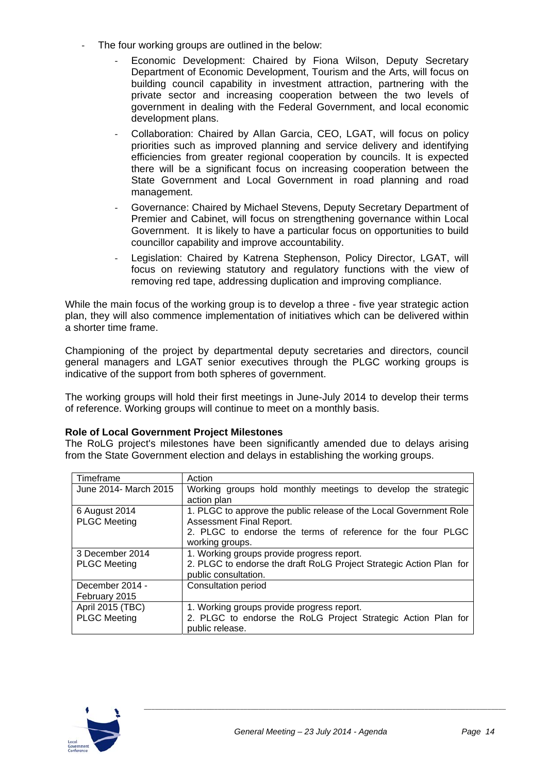- The four working groups are outlined in the below:
	- ‐ Economic Development: Chaired by Fiona Wilson, Deputy Secretary Department of Economic Development, Tourism and the Arts, will focus on building council capability in investment attraction, partnering with the private sector and increasing cooperation between the two levels of government in dealing with the Federal Government, and local economic development plans.
	- ‐ Collaboration: Chaired by Allan Garcia, CEO, LGAT, will focus on policy priorities such as improved planning and service delivery and identifying efficiencies from greater regional cooperation by councils. It is expected there will be a significant focus on increasing cooperation between the State Government and Local Government in road planning and road management.
	- ‐ Governance: Chaired by Michael Stevens, Deputy Secretary Department of Premier and Cabinet, will focus on strengthening governance within Local Government. It is likely to have a particular focus on opportunities to build councillor capability and improve accountability.
	- Legislation: Chaired by Katrena Stephenson, Policy Director, LGAT, will focus on reviewing statutory and regulatory functions with the view of removing red tape, addressing duplication and improving compliance.

While the main focus of the working group is to develop a three - five year strategic action plan, they will also commence implementation of initiatives which can be delivered within a shorter time frame.

Championing of the project by departmental deputy secretaries and directors, council general managers and LGAT senior executives through the PLGC working groups is indicative of the support from both spheres of government.

The working groups will hold their first meetings in June-July 2014 to develop their terms of reference. Working groups will continue to meet on a monthly basis.

#### **Role of Local Government Project Milestones**

The RoLG project's milestones have been significantly amended due to delays arising from the State Government election and delays in establishing the working groups.

| Timeframe             | Action                                                              |
|-----------------------|---------------------------------------------------------------------|
| June 2014- March 2015 | Working groups hold monthly meetings to develop the strategic       |
|                       | action plan                                                         |
| 6 August 2014         | 1. PLGC to approve the public release of the Local Government Role  |
| <b>PLGC Meeting</b>   | Assessment Final Report.                                            |
|                       | 2. PLGC to endorse the terms of reference for the four PLGC         |
|                       | working groups.                                                     |
| 3 December 2014       | 1. Working groups provide progress report.                          |
| <b>PLGC Meeting</b>   | 2. PLGC to endorse the draft RoLG Project Strategic Action Plan for |
|                       | public consultation.                                                |
| December 2014 -       | Consultation period                                                 |
| February 2015         |                                                                     |
| April 2015 (TBC)      | 1. Working groups provide progress report.                          |
| <b>PLGC Meeting</b>   | 2. PLGC to endorse the RoLG Project Strategic Action Plan for       |
|                       | public release.                                                     |

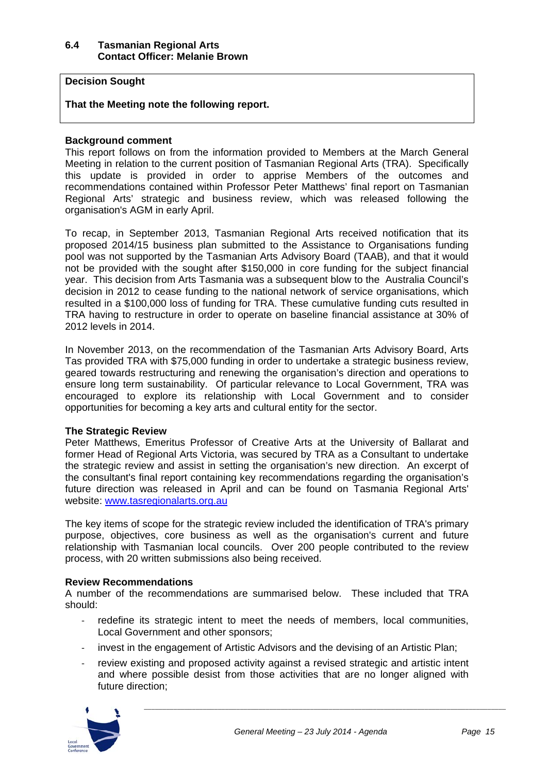#### **6.4 Tasmanian Regional Arts Contact Officer: Melanie Brown**

#### **Decision Sought**

#### **That the Meeting note the following report.**

#### **Background comment**

This report follows on from the information provided to Members at the March General Meeting in relation to the current position of Tasmanian Regional Arts (TRA). Specifically this update is provided in order to apprise Members of the outcomes and recommendations contained within Professor Peter Matthews' final report on Tasmanian Regional Arts' strategic and business review, which was released following the organisation's AGM in early April.

To recap, in September 2013, Tasmanian Regional Arts received notification that its proposed 2014/15 business plan submitted to the Assistance to Organisations funding pool was not supported by the Tasmanian Arts Advisory Board (TAAB), and that it would not be provided with the sought after \$150,000 in core funding for the subject financial year. This decision from Arts Tasmania was a subsequent blow to the Australia Council's decision in 2012 to cease funding to the national network of service organisations, which resulted in a \$100,000 loss of funding for TRA. These cumulative funding cuts resulted in TRA having to restructure in order to operate on baseline financial assistance at 30% of 2012 levels in 2014.

In November 2013, on the recommendation of the Tasmanian Arts Advisory Board, Arts Tas provided TRA with \$75,000 funding in order to undertake a strategic business review, geared towards restructuring and renewing the organisation's direction and operations to ensure long term sustainability. Of particular relevance to Local Government, TRA was encouraged to explore its relationship with Local Government and to consider opportunities for becoming a key arts and cultural entity for the sector.

#### **The Strategic Review**

Peter Matthews, Emeritus Professor of Creative Arts at the University of Ballarat and former Head of Regional Arts Victoria, was secured by TRA as a Consultant to undertake the strategic review and assist in setting the organisation's new direction. An excerpt of the consultant's final report containing key recommendations regarding the organisation's future direction was released in April and can be found on Tasmania Regional Arts' website: www.tasregionalarts.org.au

The key items of scope for the strategic review included the identification of TRA's primary purpose, objectives, core business as well as the organisation's current and future relationship with Tasmanian local councils. Over 200 people contributed to the review process, with 20 written submissions also being received.

#### **Review Recommendations**

A number of the recommendations are summarised below. These included that TRA should:

- ‐ redefine its strategic intent to meet the needs of members, local communities, Local Government and other sponsors;
- invest in the engagement of Artistic Advisors and the devising of an Artistic Plan;
- review existing and proposed activity against a revised strategic and artistic intent and where possible desist from those activities that are no longer aligned with future direction;

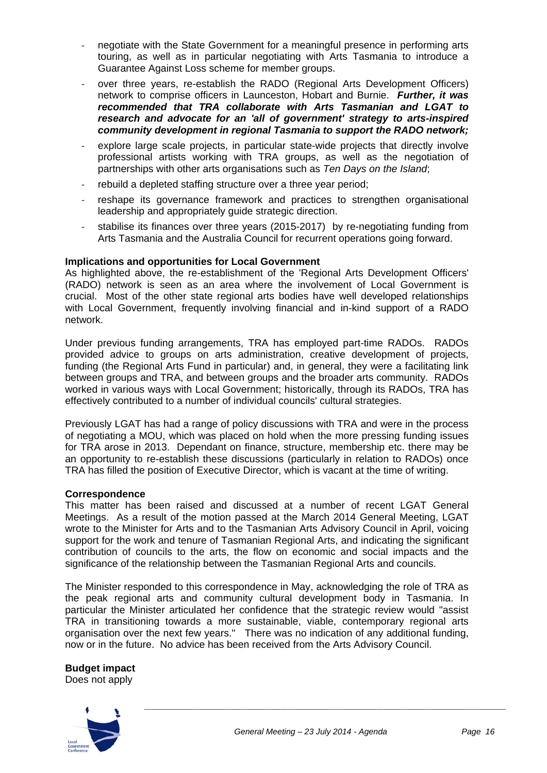- ‐ negotiate with the State Government for a meaningful presence in performing arts touring, as well as in particular negotiating with Arts Tasmania to introduce a Guarantee Against Loss scheme for member groups.
- over three years, re-establish the RADO (Regional Arts Development Officers) network to comprise officers in Launceston, Hobart and Burnie. *Further, it was recommended that TRA collaborate with Arts Tasmanian and LGAT to research and advocate for an 'all of government' strategy to arts-inspired community development in regional Tasmania to support the RADO network;*
- ‐ explore large scale projects, in particular state-wide projects that directly involve professional artists working with TRA groups, as well as the negotiation of partnerships with other arts organisations such as *Ten Days on the Island*;
- rebuild a depleted staffing structure over a three year period;
- ‐ reshape its governance framework and practices to strengthen organisational leadership and appropriately guide strategic direction.
- stabilise its finances over three years (2015-2017) by re-negotiating funding from Arts Tasmania and the Australia Council for recurrent operations going forward.

#### **Implications and opportunities for Local Government**

As highlighted above, the re-establishment of the 'Regional Arts Development Officers' (RADO) network is seen as an area where the involvement of Local Government is crucial. Most of the other state regional arts bodies have well developed relationships with Local Government, frequently involving financial and in-kind support of a RADO network.

Under previous funding arrangements, TRA has employed part-time RADOs. RADOs provided advice to groups on arts administration, creative development of projects, funding (the Regional Arts Fund in particular) and, in general, they were a facilitating link between groups and TRA, and between groups and the broader arts community. RADOs worked in various ways with Local Government; historically, through its RADOs, TRA has effectively contributed to a number of individual councils' cultural strategies.

Previously LGAT has had a range of policy discussions with TRA and were in the process of negotiating a MOU, which was placed on hold when the more pressing funding issues for TRA arose in 2013. Dependant on finance, structure, membership etc. there may be an opportunity to re-establish these discussions (particularly in relation to RADOs) once TRA has filled the position of Executive Director, which is vacant at the time of writing.

#### **Correspondence**

This matter has been raised and discussed at a number of recent LGAT General Meetings. As a result of the motion passed at the March 2014 General Meeting, LGAT wrote to the Minister for Arts and to the Tasmanian Arts Advisory Council in April, voicing support for the work and tenure of Tasmanian Regional Arts, and indicating the significant contribution of councils to the arts, the flow on economic and social impacts and the significance of the relationship between the Tasmanian Regional Arts and councils.

The Minister responded to this correspondence in May, acknowledging the role of TRA as the peak regional arts and community cultural development body in Tasmania. In particular the Minister articulated her confidence that the strategic review would "assist TRA in transitioning towards a more sustainable, viable, contemporary regional arts organisation over the next few years." There was no indication of any additional funding, now or in the future. No advice has been received from the Arts Advisory Council.

**Budget impact** 



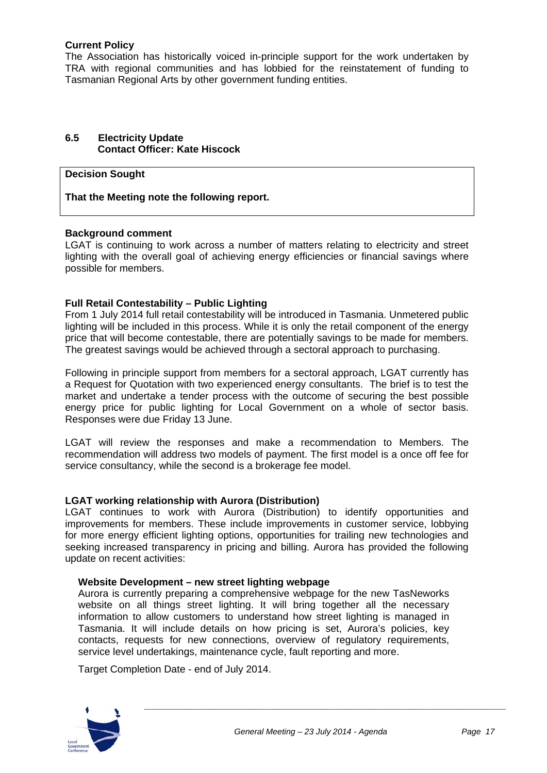#### **Current Policy**

The Association has historically voiced in-principle support for the work undertaken by TRA with regional communities and has lobbied for the reinstatement of funding to Tasmanian Regional Arts by other government funding entities.

#### **6.5 Electricity Update Contact Officer: Kate Hiscock**

#### **Decision Sought**

**That the Meeting note the following report.** 

#### **Background comment**

LGAT is continuing to work across a number of matters relating to electricity and street lighting with the overall goal of achieving energy efficiencies or financial savings where possible for members.

#### **Full Retail Contestability – Public Lighting**

From 1 July 2014 full retail contestability will be introduced in Tasmania. Unmetered public lighting will be included in this process. While it is only the retail component of the energy price that will become contestable, there are potentially savings to be made for members. The greatest savings would be achieved through a sectoral approach to purchasing.

Following in principle support from members for a sectoral approach, LGAT currently has a Request for Quotation with two experienced energy consultants. The brief is to test the market and undertake a tender process with the outcome of securing the best possible energy price for public lighting for Local Government on a whole of sector basis. Responses were due Friday 13 June.

LGAT will review the responses and make a recommendation to Members. The recommendation will address two models of payment. The first model is a once off fee for service consultancy, while the second is a brokerage fee model.

#### **LGAT working relationship with Aurora (Distribution)**

LGAT continues to work with Aurora (Distribution) to identify opportunities and improvements for members. These include improvements in customer service, lobbying for more energy efficient lighting options, opportunities for trailing new technologies and seeking increased transparency in pricing and billing. Aurora has provided the following update on recent activities:

#### **Website Development – new street lighting webpage**

Aurora is currently preparing a comprehensive webpage for the new TasNeworks website on all things street lighting. It will bring together all the necessary information to allow customers to understand how street lighting is managed in Tasmania. It will include details on how pricing is set, Aurora's policies, key contacts, requests for new connections, overview of regulatory requirements, service level undertakings, maintenance cycle, fault reporting and more.

Target Completion Date - end of July 2014.

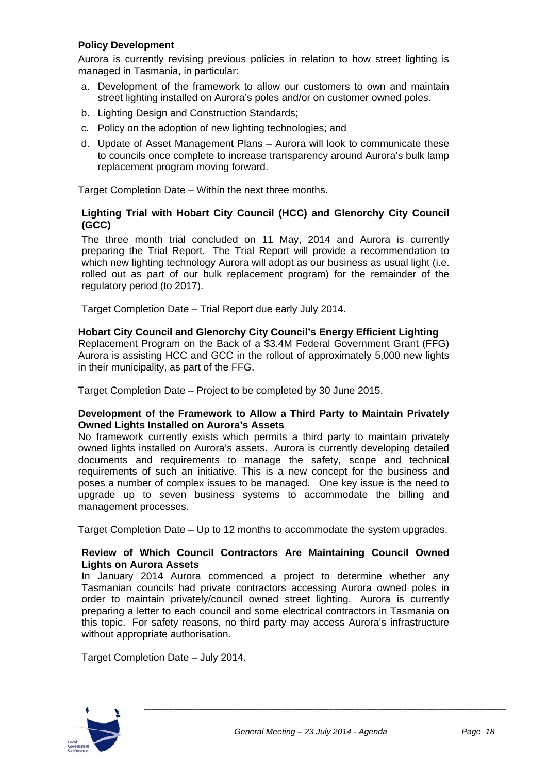#### **Policy Development**

Aurora is currently revising previous policies in relation to how street lighting is managed in Tasmania, in particular:

- a. Development of the framework to allow our customers to own and maintain street lighting installed on Aurora's poles and/or on customer owned poles.
- b. Lighting Design and Construction Standards;
- c. Policy on the adoption of new lighting technologies; and
- d. Update of Asset Management Plans Aurora will look to communicate these to councils once complete to increase transparency around Aurora's bulk lamp replacement program moving forward.

Target Completion Date – Within the next three months.

#### **Lighting Trial with Hobart City Council (HCC) and Glenorchy City Council (GCC)**

The three month trial concluded on 11 May, 2014 and Aurora is currently preparing the Trial Report. The Trial Report will provide a recommendation to which new lighting technology Aurora will adopt as our business as usual light (i.e. rolled out as part of our bulk replacement program) for the remainder of the regulatory period (to 2017).

Target Completion Date – Trial Report due early July 2014.

#### **Hobart City Council and Glenorchy City Council's Energy Efficient Lighting**

Replacement Program on the Back of a \$3.4M Federal Government Grant (FFG) Aurora is assisting HCC and GCC in the rollout of approximately 5,000 new lights in their municipality, as part of the FFG.

Target Completion Date – Project to be completed by 30 June 2015.

#### **Development of the Framework to Allow a Third Party to Maintain Privately Owned Lights Installed on Aurora's Assets**

No framework currently exists which permits a third party to maintain privately owned lights installed on Aurora's assets. Aurora is currently developing detailed documents and requirements to manage the safety, scope and technical requirements of such an initiative. This is a new concept for the business and poses a number of complex issues to be managed. One key issue is the need to upgrade up to seven business systems to accommodate the billing and management processes.

Target Completion Date – Up to 12 months to accommodate the system upgrades.

#### **Review of Which Council Contractors Are Maintaining Council Owned Lights on Aurora Assets**

In January 2014 Aurora commenced a project to determine whether any Tasmanian councils had private contractors accessing Aurora owned poles in order to maintain privately/council owned street lighting. Aurora is currently preparing a letter to each council and some electrical contractors in Tasmania on this topic. For safety reasons, no third party may access Aurora's infrastructure without appropriate authorisation.

Target Completion Date – July 2014.

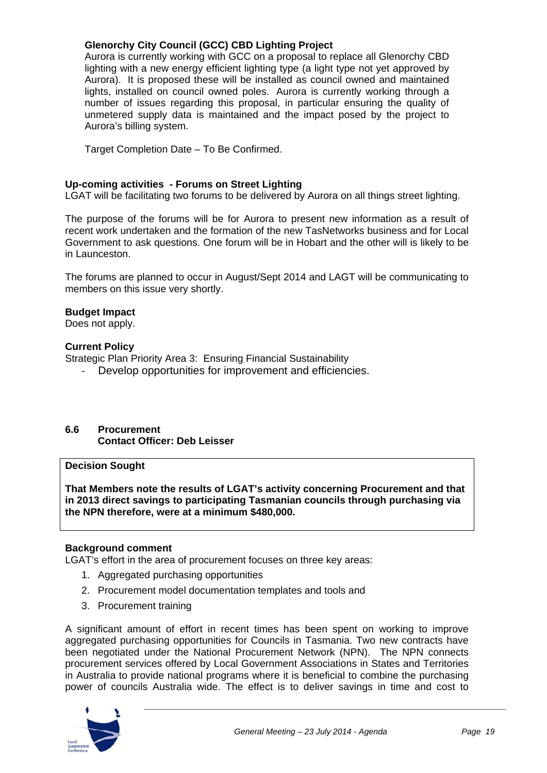#### **Glenorchy City Council (GCC) CBD Lighting Project**

Aurora is currently working with GCC on a proposal to replace all Glenorchy CBD lighting with a new energy efficient lighting type (a light type not yet approved by Aurora). It is proposed these will be installed as council owned and maintained lights, installed on council owned poles. Aurora is currently working through a number of issues regarding this proposal, in particular ensuring the quality of unmetered supply data is maintained and the impact posed by the project to Aurora's billing system.

Target Completion Date – To Be Confirmed.

#### **Up-coming activities - Forums on Street Lighting**

LGAT will be facilitating two forums to be delivered by Aurora on all things street lighting.

The purpose of the forums will be for Aurora to present new information as a result of recent work undertaken and the formation of the new TasNetworks business and for Local Government to ask questions. One forum will be in Hobart and the other will is likely to be in Launceston.

The forums are planned to occur in August/Sept 2014 and LAGT will be communicating to members on this issue very shortly.

#### **Budget Impact**

Does not apply.

#### **Current Policy**

Strategic Plan Priority Area 3: Ensuring Financial Sustainability

Develop opportunities for improvement and efficiencies.

#### **6.6 Procurement Contact Officer: Deb Leisser**

#### **Decision Sought**

**That Members note the results of LGAT's activity concerning Procurement and that in 2013 direct savings to participating Tasmanian councils through purchasing via the NPN therefore, were at a minimum \$480,000.** 

#### **Background comment**

LGAT's effort in the area of procurement focuses on three key areas:

- 1. Aggregated purchasing opportunities
- 2. Procurement model documentation templates and tools and
- 3. Procurement training

A significant amount of effort in recent times has been spent on working to improve aggregated purchasing opportunities for Councils in Tasmania. Two new contracts have been negotiated under the National Procurement Network (NPN). The NPN connects procurement services offered by Local Government Associations in States and Territories in Australia to provide national programs where it is beneficial to combine the purchasing power of councils Australia wide. The effect is to deliver savings in time and cost to

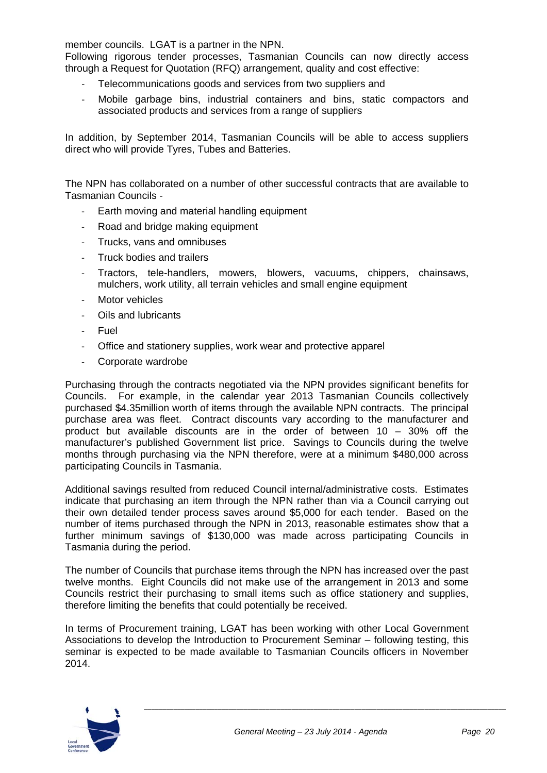member councils. LGAT is a partner in the NPN.

Following rigorous tender processes, Tasmanian Councils can now directly access through a Request for Quotation (RFQ) arrangement, quality and cost effective:

- Telecommunications goods and services from two suppliers and
- ‐ Mobile garbage bins, industrial containers and bins, static compactors and associated products and services from a range of suppliers

In addition, by September 2014, Tasmanian Councils will be able to access suppliers direct who will provide Tyres, Tubes and Batteries.

The NPN has collaborated on a number of other successful contracts that are available to Tasmanian Councils -

- Earth moving and material handling equipment
- ‐ Road and bridge making equipment
- ‐ Trucks, vans and omnibuses
- ‐ Truck bodies and trailers
- ‐ Tractors, tele-handlers, mowers, blowers, vacuums, chippers, chainsaws, mulchers, work utility, all terrain vehicles and small engine equipment
- ‐ Motor vehicles
- ‐ Oils and lubricants
- ‐ Fuel
- ‐ Office and stationery supplies, work wear and protective apparel
- ‐ Corporate wardrobe

Purchasing through the contracts negotiated via the NPN provides significant benefits for Councils. For example, in the calendar year 2013 Tasmanian Councils collectively purchased \$4.35million worth of items through the available NPN contracts. The principal purchase area was fleet. Contract discounts vary according to the manufacturer and product but available discounts are in the order of between 10 – 30% off the manufacturer's published Government list price. Savings to Councils during the twelve months through purchasing via the NPN therefore, were at a minimum \$480,000 across participating Councils in Tasmania.

Additional savings resulted from reduced Council internal/administrative costs. Estimates indicate that purchasing an item through the NPN rather than via a Council carrying out their own detailed tender process saves around \$5,000 for each tender. Based on the number of items purchased through the NPN in 2013, reasonable estimates show that a further minimum savings of \$130,000 was made across participating Councils in Tasmania during the period.

The number of Councils that purchase items through the NPN has increased over the past twelve months. Eight Councils did not make use of the arrangement in 2013 and some Councils restrict their purchasing to small items such as office stationery and supplies, therefore limiting the benefits that could potentially be received.

In terms of Procurement training, LGAT has been working with other Local Government Associations to develop the Introduction to Procurement Seminar – following testing, this seminar is expected to be made available to Tasmanian Councils officers in November 2014.

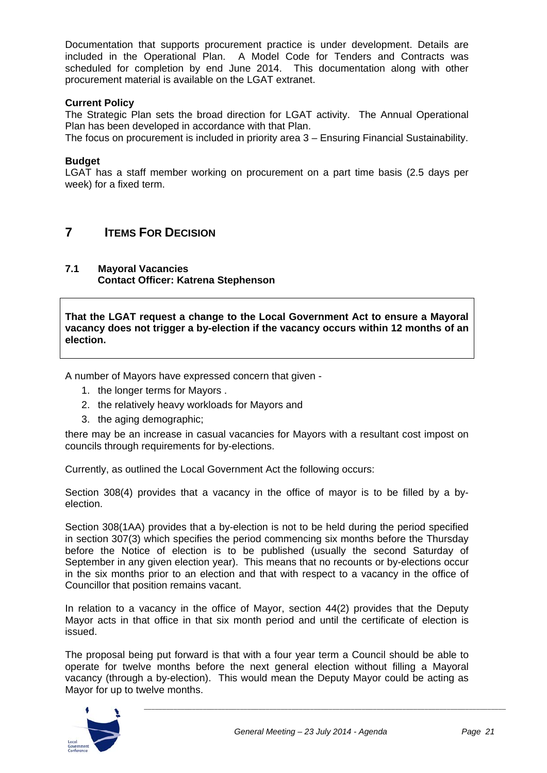Documentation that supports procurement practice is under development. Details are included in the Operational Plan. A Model Code for Tenders and Contracts was scheduled for completion by end June 2014. This documentation along with other procurement material is available on the LGAT extranet.

#### **Current Policy**

The Strategic Plan sets the broad direction for LGAT activity. The Annual Operational Plan has been developed in accordance with that Plan.

The focus on procurement is included in priority area 3 – Ensuring Financial Sustainability.

#### **Budget**

LGAT has a staff member working on procurement on a part time basis (2.5 days per week) for a fixed term.

## **7 ITEMS FOR DECISION**

**7.1 Mayoral Vacancies Contact Officer: Katrena Stephenson** 

**That the LGAT request a change to the Local Government Act to ensure a Mayoral vacancy does not trigger a by-election if the vacancy occurs within 12 months of an election.** 

A number of Mayors have expressed concern that given -

- 1. the longer terms for Mayors .
- 2. the relatively heavy workloads for Mayors and
- 3. the aging demographic;

there may be an increase in casual vacancies for Mayors with a resultant cost impost on councils through requirements for by-elections.

Currently, as outlined the Local Government Act the following occurs:

Section 308(4) provides that a vacancy in the office of mayor is to be filled by a byelection.

Section 308(1AA) provides that a by-election is not to be held during the period specified in section 307(3) which specifies the period commencing six months before the Thursday before the Notice of election is to be published (usually the second Saturday of September in any given election year). This means that no recounts or by-elections occur in the six months prior to an election and that with respect to a vacancy in the office of Councillor that position remains vacant.

In relation to a vacancy in the office of Mayor, section 44(2) provides that the Deputy Mayor acts in that office in that six month period and until the certificate of election is issued.

The proposal being put forward is that with a four year term a Council should be able to operate for twelve months before the next general election without filling a Mayoral vacancy (through a by-election). This would mean the Deputy Mayor could be acting as Mayor for up to twelve months.

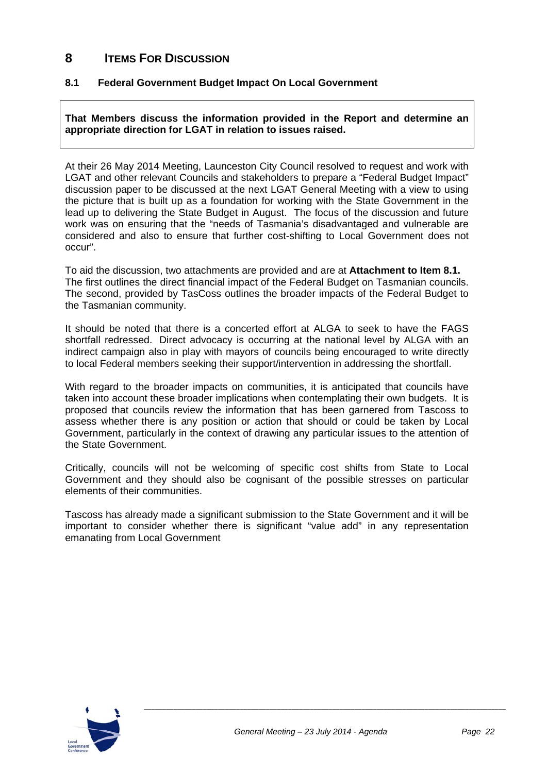## **8 ITEMS FOR DISCUSSION**

#### **8.1 Federal Government Budget Impact On Local Government**

**That Members discuss the information provided in the Report and determine an appropriate direction for LGAT in relation to issues raised.** 

At their 26 May 2014 Meeting, Launceston City Council resolved to request and work with LGAT and other relevant Councils and stakeholders to prepare a "Federal Budget Impact" discussion paper to be discussed at the next LGAT General Meeting with a view to using the picture that is built up as a foundation for working with the State Government in the lead up to delivering the State Budget in August. The focus of the discussion and future work was on ensuring that the "needs of Tasmania's disadvantaged and vulnerable are considered and also to ensure that further cost-shifting to Local Government does not occur".

To aid the discussion, two attachments are provided and are at **Attachment to Item 8.1.**  The first outlines the direct financial impact of the Federal Budget on Tasmanian councils. The second, provided by TasCoss outlines the broader impacts of the Federal Budget to the Tasmanian community.

It should be noted that there is a concerted effort at ALGA to seek to have the FAGS shortfall redressed. Direct advocacy is occurring at the national level by ALGA with an indirect campaign also in play with mayors of councils being encouraged to write directly to local Federal members seeking their support/intervention in addressing the shortfall.

With regard to the broader impacts on communities, it is anticipated that councils have taken into account these broader implications when contemplating their own budgets. It is proposed that councils review the information that has been garnered from Tascoss to assess whether there is any position or action that should or could be taken by Local Government, particularly in the context of drawing any particular issues to the attention of the State Government.

Critically, councils will not be welcoming of specific cost shifts from State to Local Government and they should also be cognisant of the possible stresses on particular elements of their communities.

Tascoss has already made a significant submission to the State Government and it will be important to consider whether there is significant "value add" in any representation emanating from Local Government

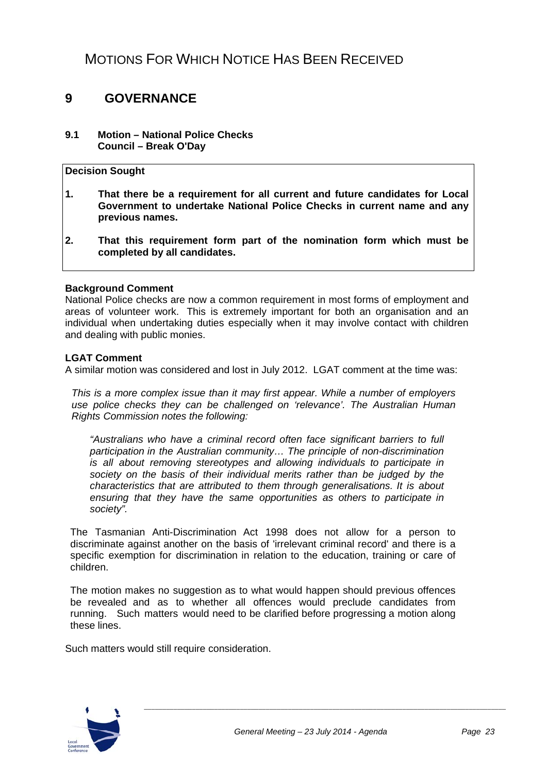## MOTIONS FOR WHICH NOTICE HAS BEEN RECEIVED

## **9 GOVERNANCE**

#### **9.1 Motion – National Police Checks Council – Break O'Day**

#### **Decision Sought**

- **1. That there be a requirement for all current and future candidates for Local Government to undertake National Police Checks in current name and any previous names.**
- **2. That this requirement form part of the nomination form which must be completed by all candidates.**

#### **Background Comment**

National Police checks are now a common requirement in most forms of employment and areas of volunteer work. This is extremely important for both an organisation and an individual when undertaking duties especially when it may involve contact with children and dealing with public monies.

#### **LGAT Comment**

A similar motion was considered and lost in July 2012. LGAT comment at the time was:

*This is a more complex issue than it may first appear. While a number of employers use police checks they can be challenged on 'relevance'. The Australian Human Rights Commission notes the following:* 

*"Australians who have a criminal record often face significant barriers to full participation in the Australian community… The principle of non-discrimination is all about removing stereotypes and allowing individuals to participate in society on the basis of their individual merits rather than be judged by the characteristics that are attributed to them through generalisations. It is about ensuring that they have the same opportunities as others to participate in society".* 

The Tasmanian Anti-Discrimination Act 1998 does not allow for a person to discriminate against another on the basis of 'irrelevant criminal record' and there is a specific exemption for discrimination in relation to the education, training or care of children.

The motion makes no suggestion as to what would happen should previous offences be revealed and as to whether all offences would preclude candidates from running. Such matters would need to be clarified before progressing a motion along these lines.

Such matters would still require consideration.

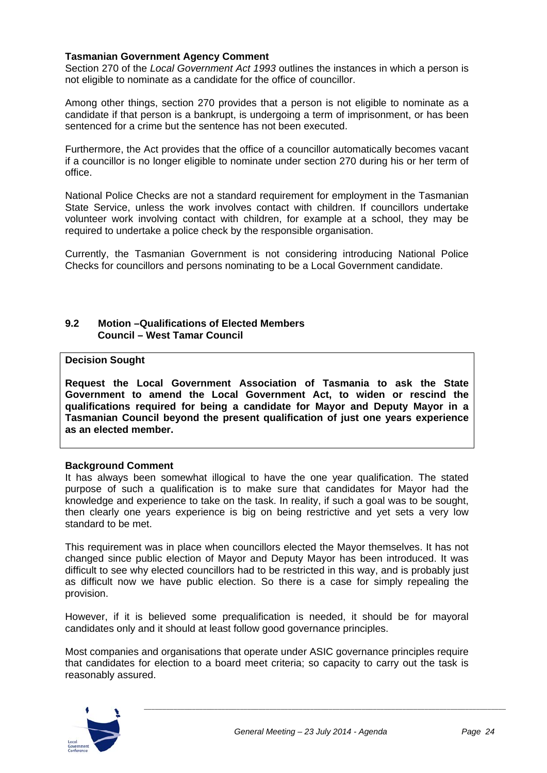#### **Tasmanian Government Agency Comment**

Section 270 of the *Local Government Act 1993* outlines the instances in which a person is not eligible to nominate as a candidate for the office of councillor.

Among other things, section 270 provides that a person is not eligible to nominate as a candidate if that person is a bankrupt, is undergoing a term of imprisonment, or has been sentenced for a crime but the sentence has not been executed.

Furthermore, the Act provides that the office of a councillor automatically becomes vacant if a councillor is no longer eligible to nominate under section 270 during his or her term of office.

National Police Checks are not a standard requirement for employment in the Tasmanian State Service, unless the work involves contact with children. If councillors undertake volunteer work involving contact with children, for example at a school, they may be required to undertake a police check by the responsible organisation.

Currently, the Tasmanian Government is not considering introducing National Police Checks for councillors and persons nominating to be a Local Government candidate.

#### **9.2 Motion –Qualifications of Elected Members Council – West Tamar Council**

#### **Decision Sought**

**Request the Local Government Association of Tasmania to ask the State Government to amend the Local Government Act, to widen or rescind the qualifications required for being a candidate for Mayor and Deputy Mayor in a Tasmanian Council beyond the present qualification of just one years experience as an elected member.** 

#### **Background Comment**

It has always been somewhat illogical to have the one year qualification. The stated purpose of such a qualification is to make sure that candidates for Mayor had the knowledge and experience to take on the task. In reality, if such a goal was to be sought, then clearly one years experience is big on being restrictive and yet sets a very low standard to be met.

This requirement was in place when councillors elected the Mayor themselves. It has not changed since public election of Mayor and Deputy Mayor has been introduced. It was difficult to see why elected councillors had to be restricted in this way, and is probably just as difficult now we have public election. So there is a case for simply repealing the provision.

However, if it is believed some prequalification is needed, it should be for mayoral candidates only and it should at least follow good governance principles.

Most companies and organisations that operate under ASIC governance principles require that candidates for election to a board meet criteria; so capacity to carry out the task is reasonably assured.

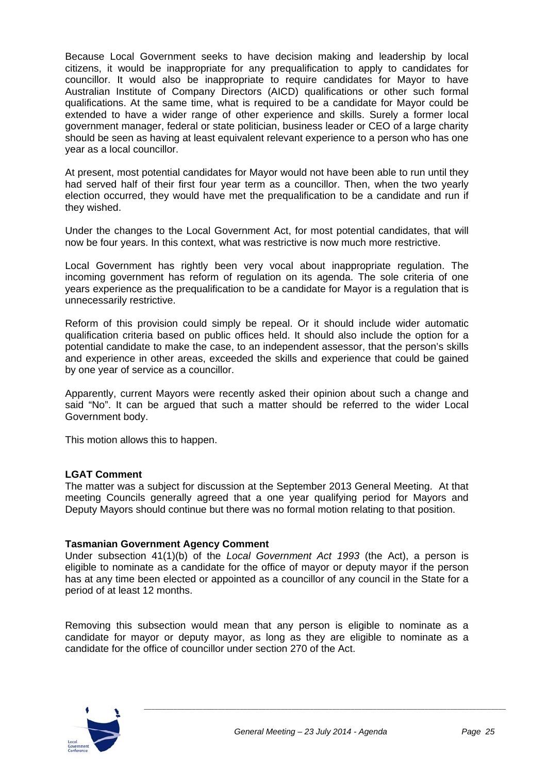Because Local Government seeks to have decision making and leadership by local citizens, it would be inappropriate for any prequalification to apply to candidates for councillor. It would also be inappropriate to require candidates for Mayor to have Australian Institute of Company Directors (AICD) qualifications or other such formal qualifications. At the same time, what is required to be a candidate for Mayor could be extended to have a wider range of other experience and skills. Surely a former local government manager, federal or state politician, business leader or CEO of a large charity should be seen as having at least equivalent relevant experience to a person who has one year as a local councillor.

At present, most potential candidates for Mayor would not have been able to run until they had served half of their first four year term as a councillor. Then, when the two yearly election occurred, they would have met the prequalification to be a candidate and run if they wished.

Under the changes to the Local Government Act, for most potential candidates, that will now be four years. In this context, what was restrictive is now much more restrictive.

Local Government has rightly been very vocal about inappropriate regulation. The incoming government has reform of regulation on its agenda. The sole criteria of one years experience as the prequalification to be a candidate for Mayor is a regulation that is unnecessarily restrictive.

Reform of this provision could simply be repeal. Or it should include wider automatic qualification criteria based on public offices held. It should also include the option for a potential candidate to make the case, to an independent assessor, that the person's skills and experience in other areas, exceeded the skills and experience that could be gained by one year of service as a councillor.

Apparently, current Mayors were recently asked their opinion about such a change and said "No". It can be argued that such a matter should be referred to the wider Local Government body.

This motion allows this to happen.

#### **LGAT Comment**

The matter was a subject for discussion at the September 2013 General Meeting. At that meeting Councils generally agreed that a one year qualifying period for Mayors and Deputy Mayors should continue but there was no formal motion relating to that position.

#### **Tasmanian Government Agency Comment**

Under subsection 41(1)(b) of the *Local Government Act 1993* (the Act), a person is eligible to nominate as a candidate for the office of mayor or deputy mayor if the person has at any time been elected or appointed as a councillor of any council in the State for a period of at least 12 months.

Removing this subsection would mean that any person is eligible to nominate as a candidate for mayor or deputy mayor, as long as they are eligible to nominate as a candidate for the office of councillor under section 270 of the Act.

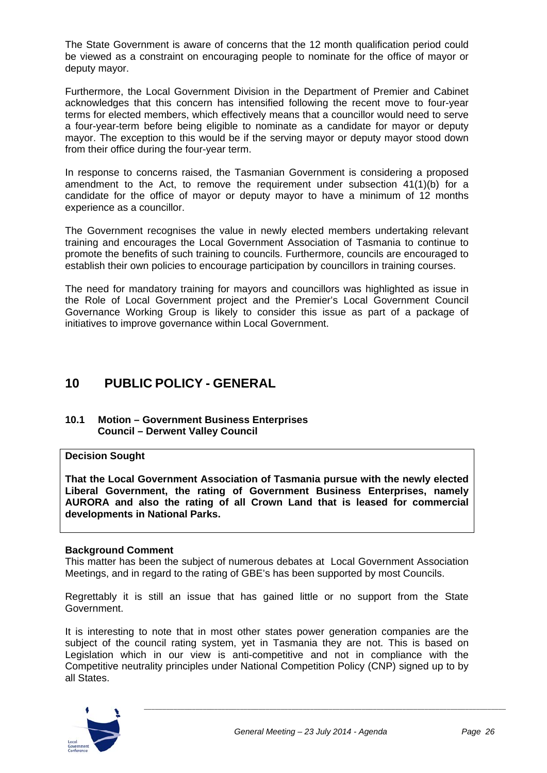The State Government is aware of concerns that the 12 month qualification period could be viewed as a constraint on encouraging people to nominate for the office of mayor or deputy mayor.

Furthermore, the Local Government Division in the Department of Premier and Cabinet acknowledges that this concern has intensified following the recent move to four-year terms for elected members, which effectively means that a councillor would need to serve a four-year-term before being eligible to nominate as a candidate for mayor or deputy mayor. The exception to this would be if the serving mayor or deputy mayor stood down from their office during the four-year term.

In response to concerns raised, the Tasmanian Government is considering a proposed amendment to the Act, to remove the requirement under subsection 41(1)(b) for a candidate for the office of mayor or deputy mayor to have a minimum of 12 months experience as a councillor.

The Government recognises the value in newly elected members undertaking relevant training and encourages the Local Government Association of Tasmania to continue to promote the benefits of such training to councils. Furthermore, councils are encouraged to establish their own policies to encourage participation by councillors in training courses.

The need for mandatory training for mayors and councillors was highlighted as issue in the Role of Local Government project and the Premier's Local Government Council Governance Working Group is likely to consider this issue as part of a package of initiatives to improve governance within Local Government.

## **10 PUBLIC POLICY - GENERAL**

#### **10.1 Motion – Government Business Enterprises Council – Derwent Valley Council**

#### **Decision Sought**

**That the Local Government Association of Tasmania pursue with the newly elected Liberal Government, the rating of Government Business Enterprises, namely AURORA and also the rating of all Crown Land that is leased for commercial developments in National Parks.** 

#### **Background Comment**

This matter has been the subject of numerous debates at Local Government Association Meetings, and in regard to the rating of GBE's has been supported by most Councils.

Regrettably it is still an issue that has gained little or no support from the State Government.

It is interesting to note that in most other states power generation companies are the subject of the council rating system, yet in Tasmania they are not. This is based on Legislation which in our view is anti-competitive and not in compliance with the Competitive neutrality principles under National Competition Policy (CNP) signed up to by all States.

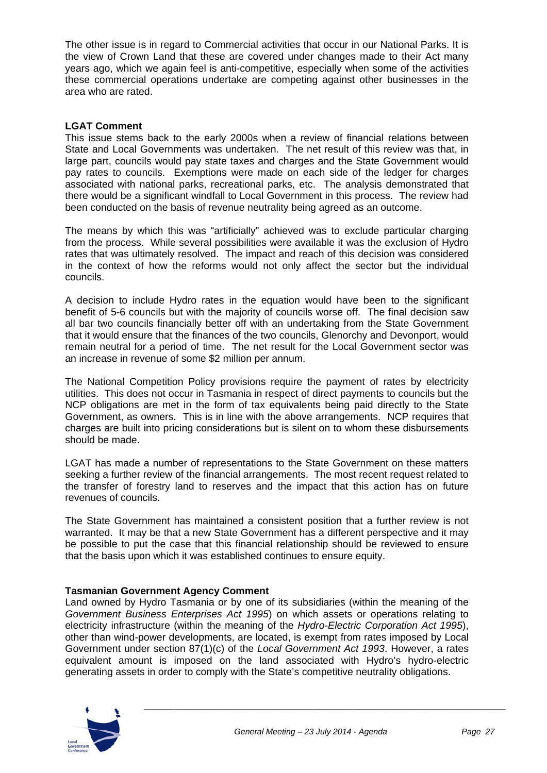The other issue is in regard to Commercial activities that occur in our National Parks. It is the view of Crown Land that these are covered under changes made to their Act many years ago, which we again feel is anti-competitive, especially when some of the activities these commercial operations undertake are competing against other businesses in the area who are rated.

#### **LGAT Comment**

This issue stems back to the early 2000s when a review of financial relations between State and Local Governments was undertaken. The net result of this review was that, in large part, councils would pay state taxes and charges and the State Government would pay rates to councils. Exemptions were made on each side of the ledger for charges associated with national parks, recreational parks, etc. The analysis demonstrated that there would be a significant windfall to Local Government in this process. The review had been conducted on the basis of revenue neutrality being agreed as an outcome.

The means by which this was "artificially" achieved was to exclude particular charging from the process. While several possibilities were available it was the exclusion of Hydro rates that was ultimately resolved. The impact and reach of this decision was considered in the context of how the reforms would not only affect the sector but the individual councils.

A decision to include Hydro rates in the equation would have been to the significant benefit of 5-6 councils but with the majority of councils worse off. The final decision saw all bar two councils financially better off with an undertaking from the State Government that it would ensure that the finances of the two councils, Glenorchy and Devonport, would remain neutral for a period of time. The net result for the Local Government sector was an increase in revenue of some \$2 million per annum.

The National Competition Policy provisions require the payment of rates by electricity utilities. This does not occur in Tasmania in respect of direct payments to councils but the NCP obligations are met in the form of tax equivalents being paid directly to the State Government, as owners. This is in line with the above arrangements. NCP requires that charges are built into pricing considerations but is silent on to whom these disbursements should be made.

LGAT has made a number of representations to the State Government on these matters seeking a further review of the financial arrangements. The most recent request related to the transfer of forestry land to reserves and the impact that this action has on future revenues of councils.

The State Government has maintained a consistent position that a further review is not warranted. It may be that a new State Government has a different perspective and it may be possible to put the case that this financial relationship should be reviewed to ensure that the basis upon which it was established continues to ensure equity.

#### **Tasmanian Government Agency Comment**

Land owned by Hydro Tasmania or by one of its subsidiaries (within the meaning of the *Government Business Enterprises Act 1995*) on which assets or operations relating to electricity infrastructure (within the meaning of the *Hydro-Electric Corporation Act 1995*), other than wind-power developments, are located, is exempt from rates imposed by Local Government under section 87(1)(c) of the *Local Government Act 1993*. However, a rates equivalent amount is imposed on the land associated with Hydro's hydro-electric generating assets in order to comply with the State's competitive neutrality obligations.

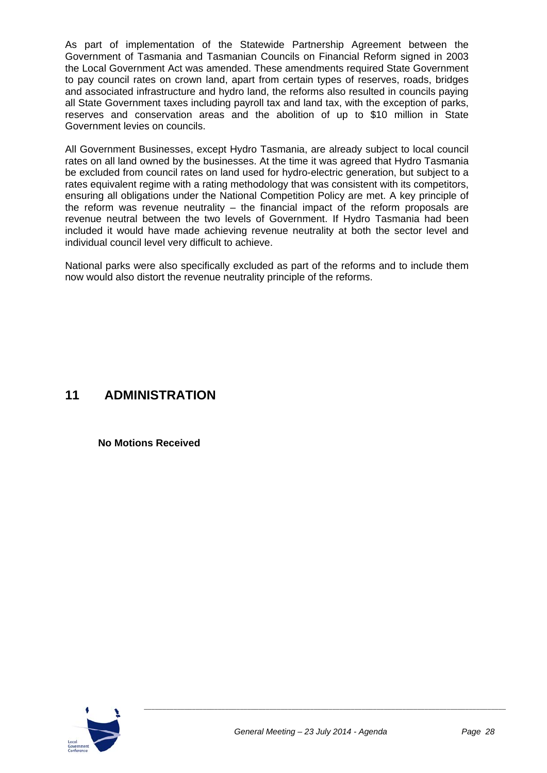#### Annexure 10 - Item D4 - July 2014

As part of implementation of the Statewide Partnership Agreement between the Government of Tasmania and Tasmanian Councils on Financial Reform signed in 2003 the Local Government Act was amended. These amendments required State Government to pay council rates on crown land, apart from certain types of reserves, roads, bridges and associated infrastructure and hydro land, the reforms also resulted in councils paying all State Government taxes including payroll tax and land tax, with the exception of parks, reserves and conservation areas and the abolition of up to \$10 million in State Government levies on councils.

All Government Businesses, except Hydro Tasmania, are already subject to local council rates on all land owned by the businesses. At the time it was agreed that Hydro Tasmania be excluded from council rates on land used for hydro-electric generation, but subject to a rates equivalent regime with a rating methodology that was consistent with its competitors, ensuring all obligations under the National Competition Policy are met. A key principle of the reform was revenue neutrality – the financial impact of the reform proposals are revenue neutral between the two levels of Government. If Hydro Tasmania had been included it would have made achieving revenue neutrality at both the sector level and individual council level very difficult to achieve.

National parks were also specifically excluded as part of the reforms and to include them now would also distort the revenue neutrality principle of the reforms.

## **11 ADMINISTRATION**

 **No Motions Received** 

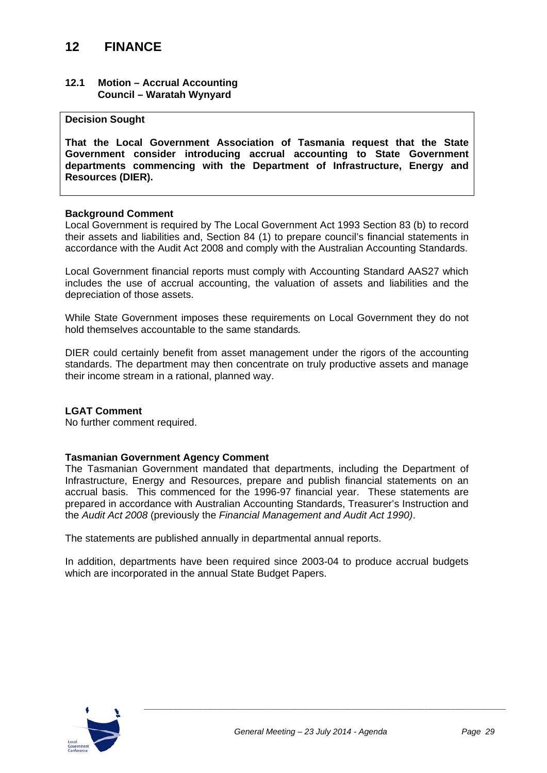## **12 FINANCE**

#### **12.1 Motion – Accrual Accounting Council – Waratah Wynyard**

#### **Decision Sought**

**That the Local Government Association of Tasmania request that the State Government consider introducing accrual accounting to State Government departments commencing with the Department of Infrastructure, Energy and Resources (DIER).** 

#### **Background Comment**

Local Government is required by The Local Government Act 1993 Section 83 (b) to record their assets and liabilities and, Section 84 (1) to prepare council's financial statements in accordance with the Audit Act 2008 and comply with the Australian Accounting Standards.

Local Government financial reports must comply with Accounting Standard AAS27 which includes the use of accrual accounting, the valuation of assets and liabilities and the depreciation of those assets.

While State Government imposes these requirements on Local Government they do not hold themselves accountable to the same standards*.* 

DIER could certainly benefit from asset management under the rigors of the accounting standards. The department may then concentrate on truly productive assets and manage their income stream in a rational, planned way.

#### **LGAT Comment**

No further comment required.

#### **Tasmanian Government Agency Comment**

The Tasmanian Government mandated that departments, including the Department of Infrastructure, Energy and Resources, prepare and publish financial statements on an accrual basis. This commenced for the 1996-97 financial year. These statements are prepared in accordance with Australian Accounting Standards, Treasurer's Instruction and the *Audit Act 2008* (previously the *Financial Management and Audit Act 1990)*.

The statements are published annually in departmental annual reports.

In addition, departments have been required since 2003-04 to produce accrual budgets which are incorporated in the annual State Budget Papers.

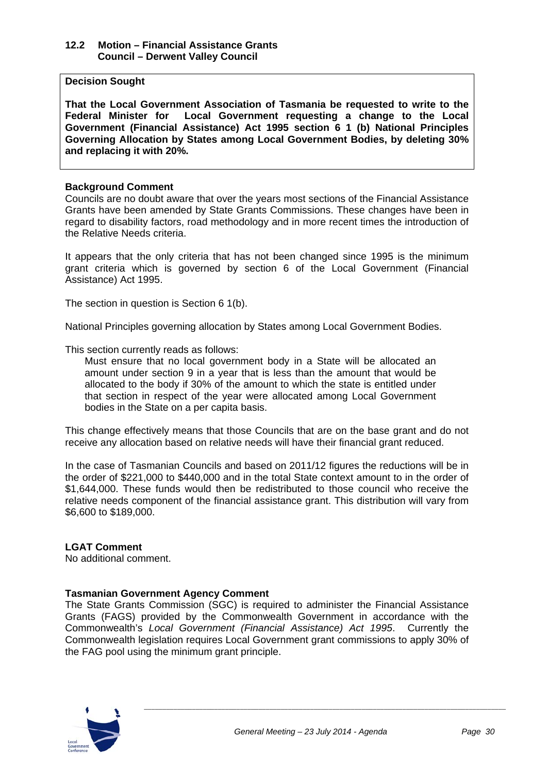#### **12.2 Motion – Financial Assistance Grants Council – Derwent Valley Council**

#### **Decision Sought**

**That the Local Government Association of Tasmania be requested to write to the Federal Minister for Local Government requesting a change to the Local Government (Financial Assistance) Act 1995 section 6 1 (b) National Principles Governing Allocation by States among Local Government Bodies, by deleting 30% and replacing it with 20%.** 

#### **Background Comment**

Councils are no doubt aware that over the years most sections of the Financial Assistance Grants have been amended by State Grants Commissions. These changes have been in regard to disability factors, road methodology and in more recent times the introduction of the Relative Needs criteria.

It appears that the only criteria that has not been changed since 1995 is the minimum grant criteria which is governed by section 6 of the Local Government (Financial Assistance) Act 1995.

The section in question is Section 6 1(b).

National Principles governing allocation by States among Local Government Bodies.

This section currently reads as follows:

Must ensure that no local government body in a State will be allocated an amount under section 9 in a year that is less than the amount that would be allocated to the body if 30% of the amount to which the state is entitled under that section in respect of the year were allocated among Local Government bodies in the State on a per capita basis.

This change effectively means that those Councils that are on the base grant and do not receive any allocation based on relative needs will have their financial grant reduced.

In the case of Tasmanian Councils and based on 2011/12 figures the reductions will be in the order of \$221,000 to \$440,000 and in the total State context amount to in the order of \$1,644,000. These funds would then be redistributed to those council who receive the relative needs component of the financial assistance grant. This distribution will vary from \$6,600 to \$189,000.

#### **LGAT Comment**

No additional comment.

#### **Tasmanian Government Agency Comment**

The State Grants Commission (SGC) is required to administer the Financial Assistance Grants (FAGS) provided by the Commonwealth Government in accordance with the Commonwealth's *Local Government (Financial Assistance) Act 1995*. Currently the Commonwealth legislation requires Local Government grant commissions to apply 30% of the FAG pool using the minimum grant principle.

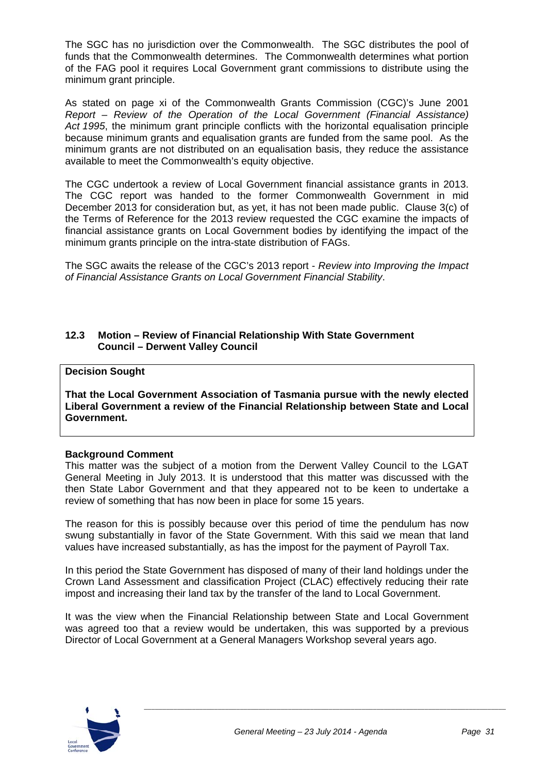The SGC has no jurisdiction over the Commonwealth. The SGC distributes the pool of funds that the Commonwealth determines. The Commonwealth determines what portion of the FAG pool it requires Local Government grant commissions to distribute using the minimum grant principle.

As stated on page xi of the Commonwealth Grants Commission (CGC)'s June 2001 *Report – Review of the Operation of the Local Government (Financial Assistance) Act 1995*, the minimum grant principle conflicts with the horizontal equalisation principle because minimum grants and equalisation grants are funded from the same pool. As the minimum grants are not distributed on an equalisation basis, they reduce the assistance available to meet the Commonwealth's equity objective.

The CGC undertook a review of Local Government financial assistance grants in 2013. The CGC report was handed to the former Commonwealth Government in mid December 2013 for consideration but, as yet, it has not been made public. Clause 3(c) of the Terms of Reference for the 2013 review requested the CGC examine the impacts of financial assistance grants on Local Government bodies by identifying the impact of the minimum grants principle on the intra-state distribution of FAGs.

The SGC awaits the release of the CGC's 2013 report - *Review into Improving the Impact of Financial Assistance Grants on Local Government Financial Stability*.

#### **12.3 Motion – Review of Financial Relationship With State Government Council – Derwent Valley Council**

#### **Decision Sought**

**That the Local Government Association of Tasmania pursue with the newly elected Liberal Government a review of the Financial Relationship between State and Local Government.** 

#### **Background Comment**

This matter was the subject of a motion from the Derwent Valley Council to the LGAT General Meeting in July 2013. It is understood that this matter was discussed with the then State Labor Government and that they appeared not to be keen to undertake a review of something that has now been in place for some 15 years.

The reason for this is possibly because over this period of time the pendulum has now swung substantially in favor of the State Government. With this said we mean that land values have increased substantially, as has the impost for the payment of Payroll Tax.

In this period the State Government has disposed of many of their land holdings under the Crown Land Assessment and classification Project (CLAC) effectively reducing their rate impost and increasing their land tax by the transfer of the land to Local Government.

It was the view when the Financial Relationship between State and Local Government was agreed too that a review would be undertaken, this was supported by a previous Director of Local Government at a General Managers Workshop several years ago.

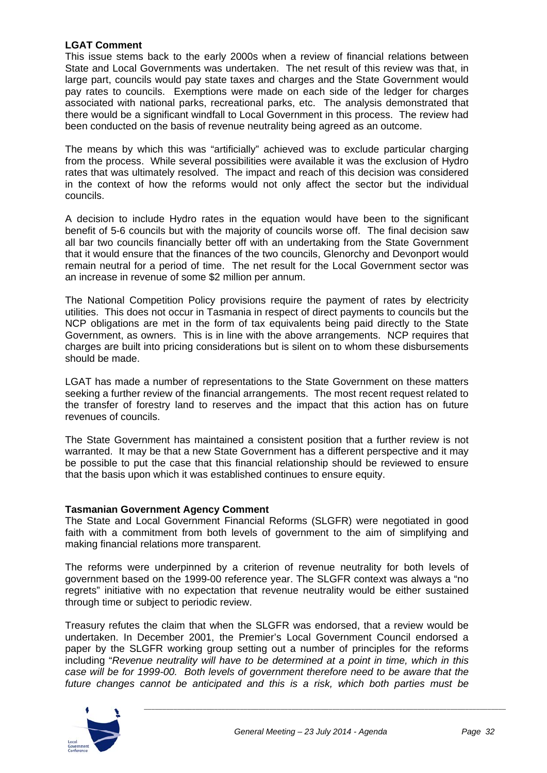#### **LGAT Comment**

This issue stems back to the early 2000s when a review of financial relations between State and Local Governments was undertaken. The net result of this review was that, in large part, councils would pay state taxes and charges and the State Government would pay rates to councils. Exemptions were made on each side of the ledger for charges associated with national parks, recreational parks, etc. The analysis demonstrated that there would be a significant windfall to Local Government in this process. The review had been conducted on the basis of revenue neutrality being agreed as an outcome.

The means by which this was "artificially" achieved was to exclude particular charging from the process. While several possibilities were available it was the exclusion of Hydro rates that was ultimately resolved. The impact and reach of this decision was considered in the context of how the reforms would not only affect the sector but the individual councils.

A decision to include Hydro rates in the equation would have been to the significant benefit of 5-6 councils but with the majority of councils worse off. The final decision saw all bar two councils financially better off with an undertaking from the State Government that it would ensure that the finances of the two councils, Glenorchy and Devonport would remain neutral for a period of time. The net result for the Local Government sector was an increase in revenue of some \$2 million per annum.

The National Competition Policy provisions require the payment of rates by electricity utilities. This does not occur in Tasmania in respect of direct payments to councils but the NCP obligations are met in the form of tax equivalents being paid directly to the State Government, as owners. This is in line with the above arrangements. NCP requires that charges are built into pricing considerations but is silent on to whom these disbursements should be made.

LGAT has made a number of representations to the State Government on these matters seeking a further review of the financial arrangements. The most recent request related to the transfer of forestry land to reserves and the impact that this action has on future revenues of councils.

The State Government has maintained a consistent position that a further review is not warranted. It may be that a new State Government has a different perspective and it may be possible to put the case that this financial relationship should be reviewed to ensure that the basis upon which it was established continues to ensure equity.

#### **Tasmanian Government Agency Comment**

The State and Local Government Financial Reforms (SLGFR) were negotiated in good faith with a commitment from both levels of government to the aim of simplifying and making financial relations more transparent.

The reforms were underpinned by a criterion of revenue neutrality for both levels of government based on the 1999-00 reference year. The SLGFR context was always a "no regrets" initiative with no expectation that revenue neutrality would be either sustained through time or subject to periodic review.

Treasury refutes the claim that when the SLGFR was endorsed, that a review would be undertaken. In December 2001, the Premier's Local Government Council endorsed a paper by the SLGFR working group setting out a number of principles for the reforms including "*Revenue neutrality will have to be determined at a point in time, which in this case will be for 1999-00. Both levels of government therefore need to be aware that the future changes cannot be anticipated and this is a risk, which both parties must be* 

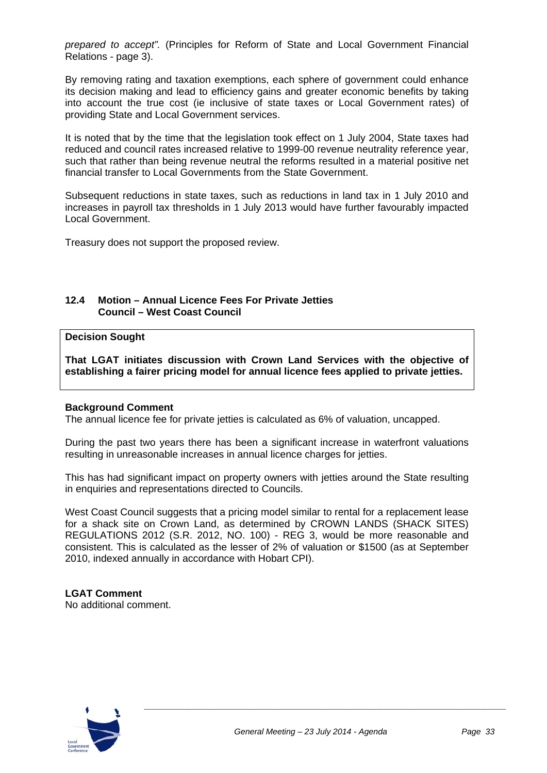*prepared to accept".* (Principles for Reform of State and Local Government Financial Relations - page 3).

By removing rating and taxation exemptions, each sphere of government could enhance its decision making and lead to efficiency gains and greater economic benefits by taking into account the true cost (ie inclusive of state taxes or Local Government rates) of providing State and Local Government services.

It is noted that by the time that the legislation took effect on 1 July 2004, State taxes had reduced and council rates increased relative to 1999-00 revenue neutrality reference year, such that rather than being revenue neutral the reforms resulted in a material positive net financial transfer to Local Governments from the State Government.

Subsequent reductions in state taxes, such as reductions in land tax in 1 July 2010 and increases in payroll tax thresholds in 1 July 2013 would have further favourably impacted Local Government.

Treasury does not support the proposed review.

#### **12.4 Motion – Annual Licence Fees For Private Jetties Council – West Coast Council**

#### **Decision Sought**

**That LGAT initiates discussion with Crown Land Services with the objective of establishing a fairer pricing model for annual licence fees applied to private jetties.** 

#### **Background Comment**

The annual licence fee for private jetties is calculated as 6% of valuation, uncapped.

During the past two years there has been a significant increase in waterfront valuations resulting in unreasonable increases in annual licence charges for jetties.

This has had significant impact on property owners with jetties around the State resulting in enquiries and representations directed to Councils.

West Coast Council suggests that a pricing model similar to rental for a replacement lease for a shack site on Crown Land, as determined by CROWN LANDS (SHACK SITES) REGULATIONS 2012 (S.R. 2012, NO. 100) - REG 3, would be more reasonable and consistent. This is calculated as the lesser of 2% of valuation or \$1500 (as at September 2010, indexed annually in accordance with Hobart CPI).

## **LGAT Comment**

No additional comment.

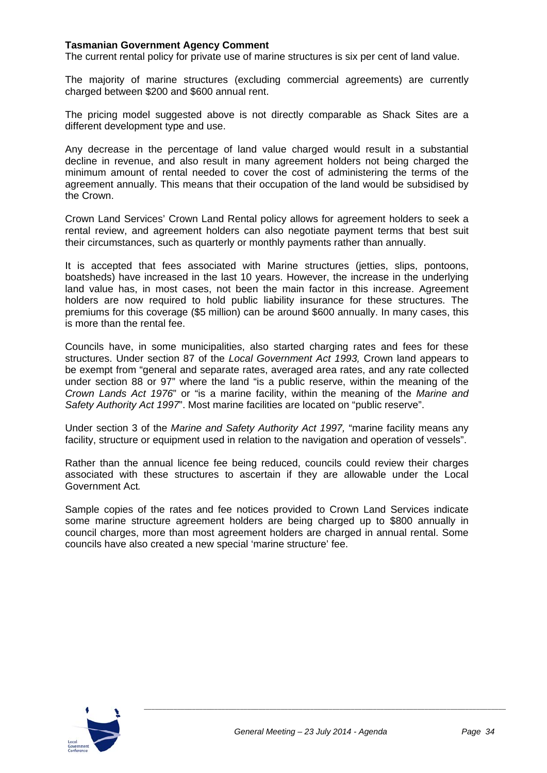#### **Tasmanian Government Agency Comment**

The current rental policy for private use of marine structures is six per cent of land value.

The majority of marine structures (excluding commercial agreements) are currently charged between \$200 and \$600 annual rent.

The pricing model suggested above is not directly comparable as Shack Sites are a different development type and use.

Any decrease in the percentage of land value charged would result in a substantial decline in revenue, and also result in many agreement holders not being charged the minimum amount of rental needed to cover the cost of administering the terms of the agreement annually. This means that their occupation of the land would be subsidised by the Crown.

Crown Land Services' Crown Land Rental policy allows for agreement holders to seek a rental review, and agreement holders can also negotiate payment terms that best suit their circumstances, such as quarterly or monthly payments rather than annually.

It is accepted that fees associated with Marine structures (jetties, slips, pontoons, boatsheds) have increased in the last 10 years. However, the increase in the underlying land value has, in most cases, not been the main factor in this increase. Agreement holders are now required to hold public liability insurance for these structures. The premiums for this coverage (\$5 million) can be around \$600 annually. In many cases, this is more than the rental fee.

Councils have, in some municipalities, also started charging rates and fees for these structures. Under section 87 of the *Local Government Act 1993,* Crown land appears to be exempt from "general and separate rates, averaged area rates, and any rate collected under section 88 or 97" where the land "is a public reserve, within the meaning of the *Crown Lands Act 1976*" or "is a marine facility, within the meaning of the *Marine and Safety Authority Act 1997*". Most marine facilities are located on "public reserve".

Under section 3 of the *Marine and Safety Authority Act 1997,* "marine facility means any facility, structure or equipment used in relation to the navigation and operation of vessels".

Rather than the annual licence fee being reduced, councils could review their charges associated with these structures to ascertain if they are allowable under the Local Government Act*.* 

Sample copies of the rates and fee notices provided to Crown Land Services indicate some marine structure agreement holders are being charged up to \$800 annually in council charges, more than most agreement holders are charged in annual rental. Some councils have also created a new special 'marine structure' fee.

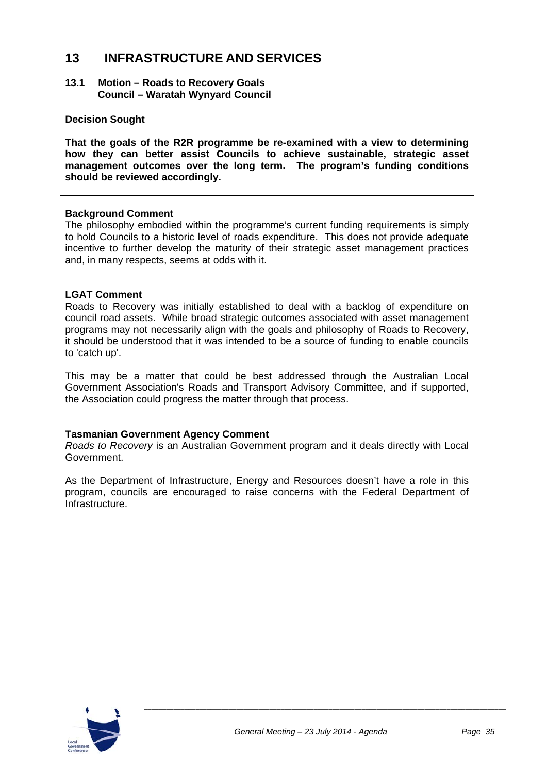## **13 INFRASTRUCTURE AND SERVICES**

#### **13.1 Motion – Roads to Recovery Goals Council – Waratah Wynyard Council**

#### **Decision Sought**

**That the goals of the R2R programme be re-examined with a view to determining how they can better assist Councils to achieve sustainable, strategic asset management outcomes over the long term. The program's funding conditions should be reviewed accordingly.** 

#### **Background Comment**

The philosophy embodied within the programme's current funding requirements is simply to hold Councils to a historic level of roads expenditure. This does not provide adequate incentive to further develop the maturity of their strategic asset management practices and, in many respects, seems at odds with it.

#### **LGAT Comment**

Roads to Recovery was initially established to deal with a backlog of expenditure on council road assets. While broad strategic outcomes associated with asset management programs may not necessarily align with the goals and philosophy of Roads to Recovery, it should be understood that it was intended to be a source of funding to enable councils to 'catch up'.

This may be a matter that could be best addressed through the Australian Local Government Association's Roads and Transport Advisory Committee, and if supported, the Association could progress the matter through that process.

#### **Tasmanian Government Agency Comment**

*Roads to Recovery* is an Australian Government program and it deals directly with Local Government.

As the Department of Infrastructure, Energy and Resources doesn't have a role in this program, councils are encouraged to raise concerns with the Federal Department of Infrastructure.

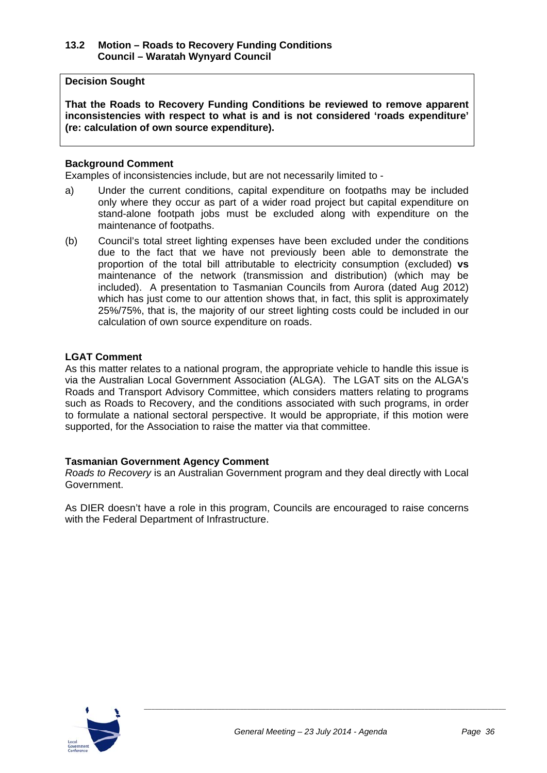#### **13.2 Motion – Roads to Recovery Funding Conditions Council – Waratah Wynyard Council**

#### **Decision Sought**

**That the Roads to Recovery Funding Conditions be reviewed to remove apparent inconsistencies with respect to what is and is not considered 'roads expenditure' (re: calculation of own source expenditure).** 

#### **Background Comment**

Examples of inconsistencies include, but are not necessarily limited to -

- a) Under the current conditions, capital expenditure on footpaths may be included only where they occur as part of a wider road project but capital expenditure on stand-alone footpath jobs must be excluded along with expenditure on the maintenance of footpaths.
- (b) Council's total street lighting expenses have been excluded under the conditions due to the fact that we have not previously been able to demonstrate the proportion of the total bill attributable to electricity consumption (excluded) **vs** maintenance of the network (transmission and distribution) (which may be included). A presentation to Tasmanian Councils from Aurora (dated Aug 2012) which has just come to our attention shows that, in fact, this split is approximately 25%/75%, that is, the majority of our street lighting costs could be included in our calculation of own source expenditure on roads.

#### **LGAT Comment**

As this matter relates to a national program, the appropriate vehicle to handle this issue is via the Australian Local Government Association (ALGA). The LGAT sits on the ALGA's Roads and Transport Advisory Committee, which considers matters relating to programs such as Roads to Recovery, and the conditions associated with such programs, in order to formulate a national sectoral perspective. It would be appropriate, if this motion were supported, for the Association to raise the matter via that committee.

#### **Tasmanian Government Agency Comment**

*Roads to Recovery* is an Australian Government program and they deal directly with Local Government.

As DIER doesn't have a role in this program, Councils are encouraged to raise concerns with the Federal Department of Infrastructure.

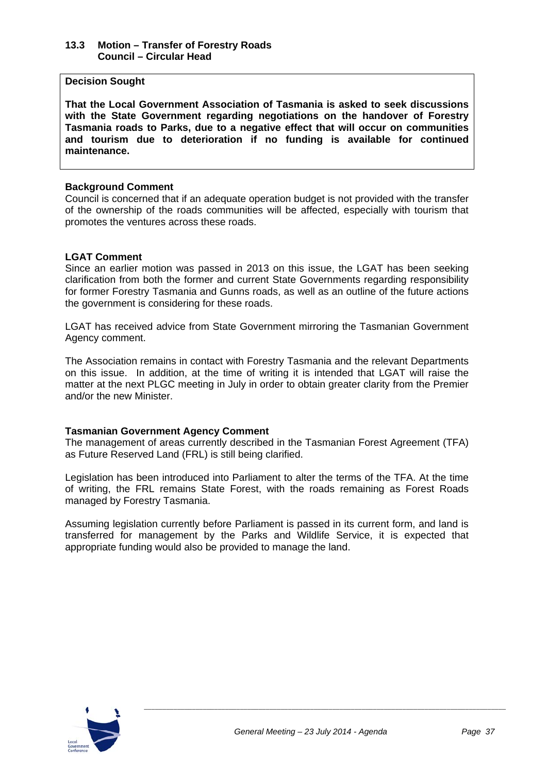#### **13.3 Motion – Transfer of Forestry Roads Council – Circular Head**

#### **Decision Sought**

**That the Local Government Association of Tasmania is asked to seek discussions with the State Government regarding negotiations on the handover of Forestry Tasmania roads to Parks, due to a negative effect that will occur on communities and tourism due to deterioration if no funding is available for continued maintenance.** 

#### **Background Comment**

Council is concerned that if an adequate operation budget is not provided with the transfer of the ownership of the roads communities will be affected, especially with tourism that promotes the ventures across these roads.

#### **LGAT Comment**

Since an earlier motion was passed in 2013 on this issue, the LGAT has been seeking clarification from both the former and current State Governments regarding responsibility for former Forestry Tasmania and Gunns roads, as well as an outline of the future actions the government is considering for these roads.

LGAT has received advice from State Government mirroring the Tasmanian Government Agency comment.

The Association remains in contact with Forestry Tasmania and the relevant Departments on this issue. In addition, at the time of writing it is intended that LGAT will raise the matter at the next PLGC meeting in July in order to obtain greater clarity from the Premier and/or the new Minister.

#### **Tasmanian Government Agency Comment**

The management of areas currently described in the Tasmanian Forest Agreement (TFA) as Future Reserved Land (FRL) is still being clarified.

Legislation has been introduced into Parliament to alter the terms of the TFA. At the time of writing, the FRL remains State Forest, with the roads remaining as Forest Roads managed by Forestry Tasmania.

Assuming legislation currently before Parliament is passed in its current form, and land is transferred for management by the Parks and Wildlife Service, it is expected that appropriate funding would also be provided to manage the land.

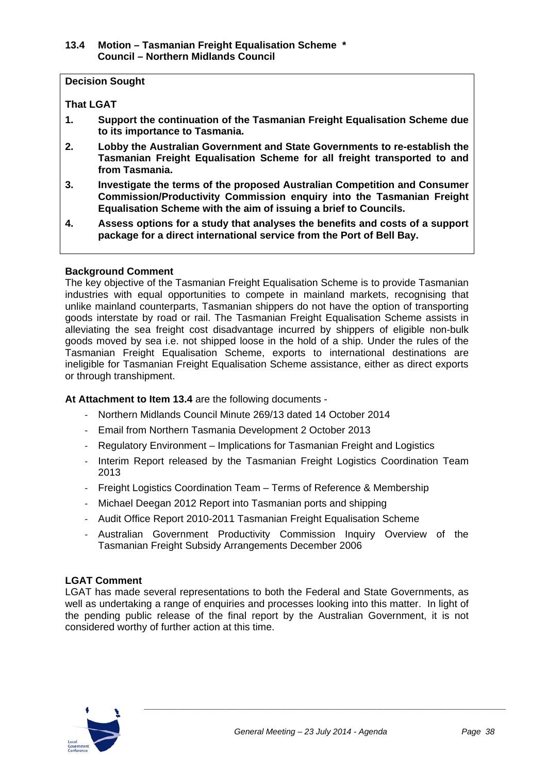#### **13.4 Motion – Tasmanian Freight Equalisation Scheme \* Council – Northern Midlands Council**

#### **Decision Sought**

#### **That LGAT**

- **1. Support the continuation of the Tasmanian Freight Equalisation Scheme due to its importance to Tasmania.**
- **2. Lobby the Australian Government and State Governments to re-establish the Tasmanian Freight Equalisation Scheme for all freight transported to and from Tasmania.**
- **3. Investigate the terms of the proposed Australian Competition and Consumer Commission/Productivity Commission enquiry into the Tasmanian Freight Equalisation Scheme with the aim of issuing a brief to Councils.**
- **4. Assess options for a study that analyses the benefits and costs of a support package for a direct international service from the Port of Bell Bay.**

#### **Background Comment**

The key objective of the Tasmanian Freight Equalisation Scheme is to provide Tasmanian industries with equal opportunities to compete in mainland markets, recognising that unlike mainland counterparts, Tasmanian shippers do not have the option of transporting goods interstate by road or rail. The Tasmanian Freight Equalisation Scheme assists in alleviating the sea freight cost disadvantage incurred by shippers of eligible non-bulk goods moved by sea i.e. not shipped loose in the hold of a ship. Under the rules of the Tasmanian Freight Equalisation Scheme, exports to international destinations are ineligible for Tasmanian Freight Equalisation Scheme assistance, either as direct exports or through transhipment.

**At Attachment to Item 13.4** are the following documents -

- ‐ Northern Midlands Council Minute 269/13 dated 14 October 2014
- ‐ Email from Northern Tasmania Development 2 October 2013
- ‐ Regulatory Environment Implications for Tasmanian Freight and Logistics
- ‐ Interim Report released by the Tasmanian Freight Logistics Coordination Team 2013
- ‐ Freight Logistics Coordination Team Terms of Reference & Membership
- ‐ Michael Deegan 2012 Report into Tasmanian ports and shipping
- ‐ Audit Office Report 2010-2011 Tasmanian Freight Equalisation Scheme
- ‐ Australian Government Productivity Commission Inquiry Overview of the Tasmanian Freight Subsidy Arrangements December 2006

#### **LGAT Comment**

LGAT has made several representations to both the Federal and State Governments, as well as undertaking a range of enquiries and processes looking into this matter. In light of the pending public release of the final report by the Australian Government, it is not considered worthy of further action at this time.

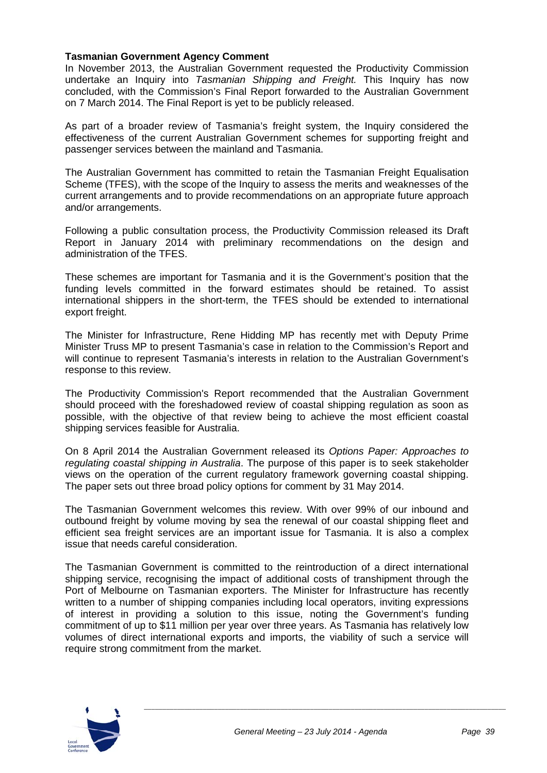#### **Tasmanian Government Agency Comment**

In November 2013, the Australian Government requested the Productivity Commission undertake an Inquiry into *Tasmanian Shipping and Freight.* This Inquiry has now concluded, with the Commission's Final Report forwarded to the Australian Government on 7 March 2014. The Final Report is yet to be publicly released.

As part of a broader review of Tasmania's freight system, the Inquiry considered the effectiveness of the current Australian Government schemes for supporting freight and passenger services between the mainland and Tasmania.

The Australian Government has committed to retain the Tasmanian Freight Equalisation Scheme (TFES), with the scope of the Inquiry to assess the merits and weaknesses of the current arrangements and to provide recommendations on an appropriate future approach and/or arrangements.

Following a public consultation process, the Productivity Commission released its Draft Report in January 2014 with preliminary recommendations on the design and administration of the TFES.

These schemes are important for Tasmania and it is the Government's position that the funding levels committed in the forward estimates should be retained. To assist international shippers in the short-term, the TFES should be extended to international export freight.

The Minister for Infrastructure, Rene Hidding MP has recently met with Deputy Prime Minister Truss MP to present Tasmania's case in relation to the Commission's Report and will continue to represent Tasmania's interests in relation to the Australian Government's response to this review.

The Productivity Commission's Report recommended that the Australian Government should proceed with the foreshadowed review of coastal shipping regulation as soon as possible, with the objective of that review being to achieve the most efficient coastal shipping services feasible for Australia.

On 8 April 2014 the Australian Government released its *Options Paper: Approaches to regulating coastal shipping in Australia*. The purpose of this paper is to seek stakeholder views on the operation of the current regulatory framework governing coastal shipping. The paper sets out three broad policy options for comment by 31 May 2014.

The Tasmanian Government welcomes this review. With over 99% of our inbound and outbound freight by volume moving by sea the renewal of our coastal shipping fleet and efficient sea freight services are an important issue for Tasmania. It is also a complex issue that needs careful consideration.

The Tasmanian Government is committed to the reintroduction of a direct international shipping service, recognising the impact of additional costs of transhipment through the Port of Melbourne on Tasmanian exporters. The Minister for Infrastructure has recently written to a number of shipping companies including local operators, inviting expressions of interest in providing a solution to this issue, noting the Government's funding commitment of up to \$11 million per year over three years. As Tasmania has relatively low volumes of direct international exports and imports, the viability of such a service will require strong commitment from the market.

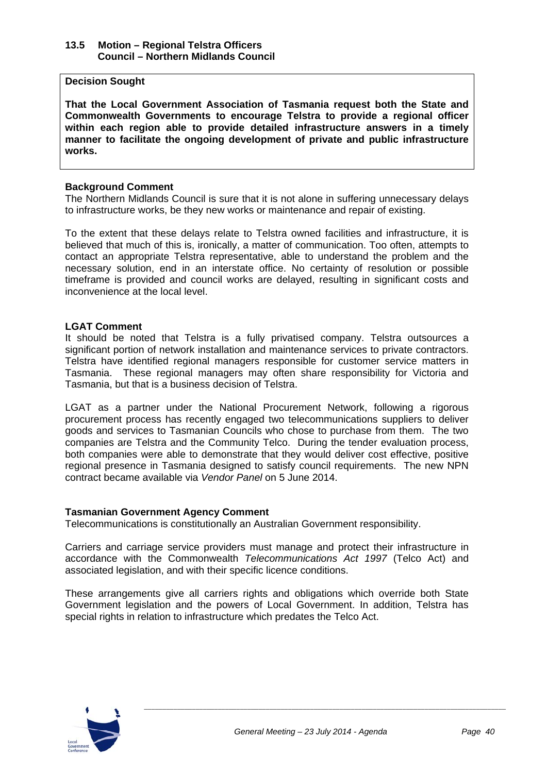#### **13.5 Motion – Regional Telstra Officers Council – Northern Midlands Council**

#### **Decision Sought**

**That the Local Government Association of Tasmania request both the State and Commonwealth Governments to encourage Telstra to provide a regional officer within each region able to provide detailed infrastructure answers in a timely manner to facilitate the ongoing development of private and public infrastructure works.** 

#### **Background Comment**

The Northern Midlands Council is sure that it is not alone in suffering unnecessary delays to infrastructure works, be they new works or maintenance and repair of existing.

To the extent that these delays relate to Telstra owned facilities and infrastructure, it is believed that much of this is, ironically, a matter of communication. Too often, attempts to contact an appropriate Telstra representative, able to understand the problem and the necessary solution, end in an interstate office. No certainty of resolution or possible timeframe is provided and council works are delayed, resulting in significant costs and inconvenience at the local level.

#### **LGAT Comment**

It should be noted that Telstra is a fully privatised company. Telstra outsources a significant portion of network installation and maintenance services to private contractors. Telstra have identified regional managers responsible for customer service matters in Tasmania. These regional managers may often share responsibility for Victoria and Tasmania, but that is a business decision of Telstra.

LGAT as a partner under the National Procurement Network, following a rigorous procurement process has recently engaged two telecommunications suppliers to deliver goods and services to Tasmanian Councils who chose to purchase from them. The two companies are Telstra and the Community Telco. During the tender evaluation process, both companies were able to demonstrate that they would deliver cost effective, positive regional presence in Tasmania designed to satisfy council requirements. The new NPN contract became available via *Vendor Panel* on 5 June 2014.

#### **Tasmanian Government Agency Comment**

Telecommunications is constitutionally an Australian Government responsibility.

Carriers and carriage service providers must manage and protect their infrastructure in accordance with the Commonwealth *Telecommunications Act 1997* (Telco Act) and associated legislation, and with their specific licence conditions.

These arrangements give all carriers rights and obligations which override both State Government legislation and the powers of Local Government. In addition, Telstra has special rights in relation to infrastructure which predates the Telco Act.

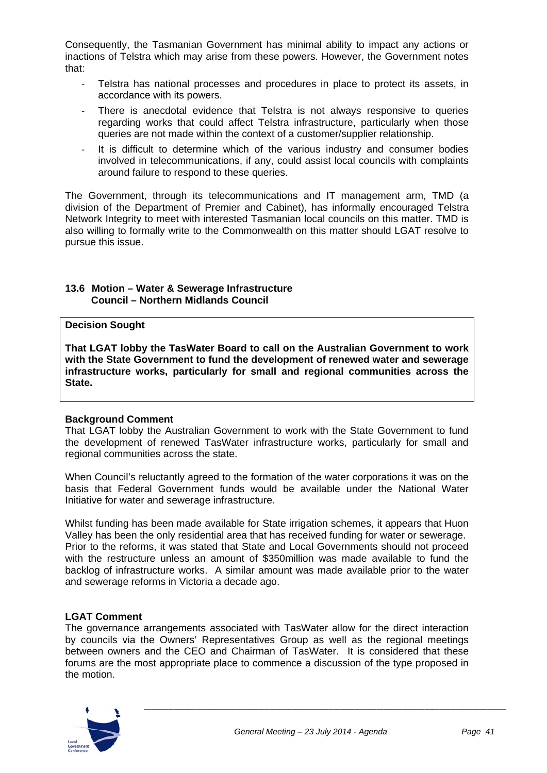Consequently, the Tasmanian Government has minimal ability to impact any actions or inactions of Telstra which may arise from these powers. However, the Government notes that:

- ‐ Telstra has national processes and procedures in place to protect its assets, in accordance with its powers.
- There is anecdotal evidence that Telstra is not always responsive to queries regarding works that could affect Telstra infrastructure, particularly when those queries are not made within the context of a customer/supplier relationship.
- It is difficult to determine which of the various industry and consumer bodies involved in telecommunications, if any, could assist local councils with complaints around failure to respond to these queries.

The Government, through its telecommunications and IT management arm, TMD (a division of the Department of Premier and Cabinet), has informally encouraged Telstra Network Integrity to meet with interested Tasmanian local councils on this matter. TMD is also willing to formally write to the Commonwealth on this matter should LGAT resolve to pursue this issue.

#### **13.6 Motion – Water & Sewerage Infrastructure Council – Northern Midlands Council**

#### **Decision Sought**

**That LGAT lobby the TasWater Board to call on the Australian Government to work with the State Government to fund the development of renewed water and sewerage infrastructure works, particularly for small and regional communities across the State.** 

#### **Background Comment**

That LGAT lobby the Australian Government to work with the State Government to fund the development of renewed TasWater infrastructure works, particularly for small and regional communities across the state.

When Council's reluctantly agreed to the formation of the water corporations it was on the basis that Federal Government funds would be available under the National Water Initiative for water and sewerage infrastructure.

Whilst funding has been made available for State irrigation schemes, it appears that Huon Valley has been the only residential area that has received funding for water or sewerage. Prior to the reforms, it was stated that State and Local Governments should not proceed with the restructure unless an amount of \$350million was made available to fund the backlog of infrastructure works. A similar amount was made available prior to the water and sewerage reforms in Victoria a decade ago.

#### **LGAT Comment**

The governance arrangements associated with TasWater allow for the direct interaction by councils via the Owners' Representatives Group as well as the regional meetings between owners and the CEO and Chairman of TasWater. It is considered that these forums are the most appropriate place to commence a discussion of the type proposed in the motion.

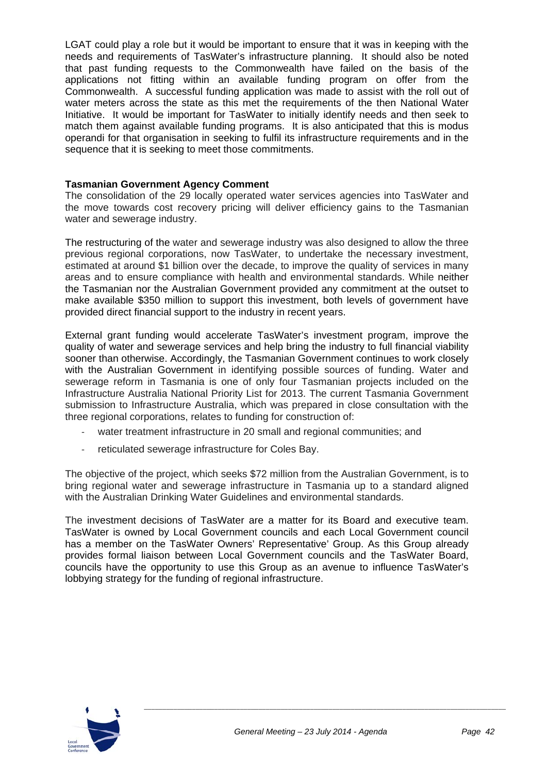#### Annexure 10 - Item D4 - July 2014

LGAT could play a role but it would be important to ensure that it was in keeping with the needs and requirements of TasWater's infrastructure planning. It should also be noted that past funding requests to the Commonwealth have failed on the basis of the applications not fitting within an available funding program on offer from the Commonwealth. A successful funding application was made to assist with the roll out of water meters across the state as this met the requirements of the then National Water Initiative. It would be important for TasWater to initially identify needs and then seek to match them against available funding programs. It is also anticipated that this is modus operandi for that organisation in seeking to fulfil its infrastructure requirements and in the sequence that it is seeking to meet those commitments.

#### **Tasmanian Government Agency Comment**

The consolidation of the 29 locally operated water services agencies into TasWater and the move towards cost recovery pricing will deliver efficiency gains to the Tasmanian water and sewerage industry.

The restructuring of the water and sewerage industry was also designed to allow the three previous regional corporations, now TasWater, to undertake the necessary investment, estimated at around \$1 billion over the decade, to improve the quality of services in many areas and to ensure compliance with health and environmental standards. While neither the Tasmanian nor the Australian Government provided any commitment at the outset to make available \$350 million to support this investment, both levels of government have provided direct financial support to the industry in recent years.

External grant funding would accelerate TasWater's investment program, improve the quality of water and sewerage services and help bring the industry to full financial viability sooner than otherwise. Accordingly, the Tasmanian Government continues to work closely with the Australian Government in identifying possible sources of funding. Water and sewerage reform in Tasmania is one of only four Tasmanian projects included on the Infrastructure Australia National Priority List for 2013. The current Tasmania Government submission to Infrastructure Australia, which was prepared in close consultation with the three regional corporations, relates to funding for construction of:

- water treatment infrastructure in 20 small and regional communities; and
- ‐ reticulated sewerage infrastructure for Coles Bay.

The objective of the project, which seeks \$72 million from the Australian Government, is to bring regional water and sewerage infrastructure in Tasmania up to a standard aligned with the Australian Drinking Water Guidelines and environmental standards.

The investment decisions of TasWater are a matter for its Board and executive team. TasWater is owned by Local Government councils and each Local Government council has a member on the TasWater Owners' Representative' Group. As this Group already provides formal liaison between Local Government councils and the TasWater Board, councils have the opportunity to use this Group as an avenue to influence TasWater's lobbying strategy for the funding of regional infrastructure.

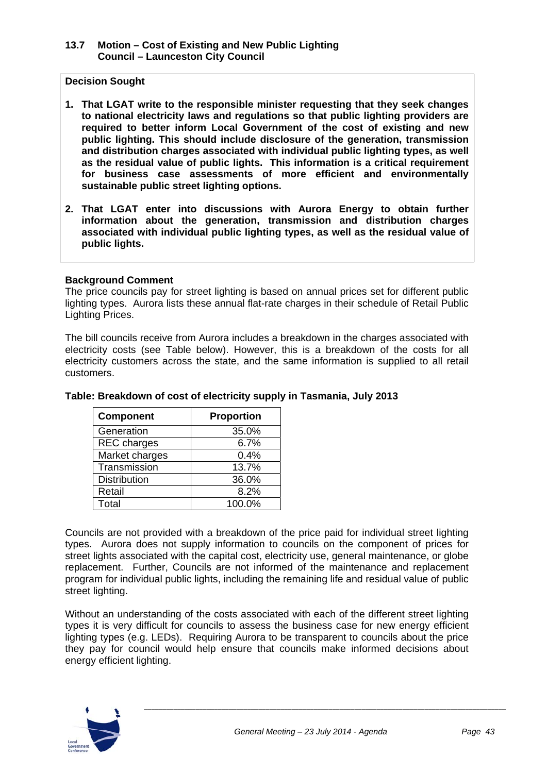#### **13.7 Motion – Cost of Existing and New Public Lighting Council – Launceston City Council**

#### **Decision Sought**

- **1. That LGAT write to the responsible minister requesting that they seek changes to national electricity laws and regulations so that public lighting providers are required to better inform Local Government of the cost of existing and new public lighting. This should include disclosure of the generation, transmission and distribution charges associated with individual public lighting types, as well as the residual value of public lights. This information is a critical requirement for business case assessments of more efficient and environmentally sustainable public street lighting options.**
- **2. That LGAT enter into discussions with Aurora Energy to obtain further information about the generation, transmission and distribution charges associated with individual public lighting types, as well as the residual value of public lights.**

#### **Background Comment**

The price councils pay for street lighting is based on annual prices set for different public lighting types. Aurora lists these annual flat-rate charges in their schedule of Retail Public Lighting Prices.

The bill councils receive from Aurora includes a breakdown in the charges associated with electricity costs (see Table below). However, this is a breakdown of the costs for all electricity customers across the state, and the same information is supplied to all retail customers.

| <b>Component</b>    | <b>Proportion</b> |
|---------------------|-------------------|
| Generation          | 35.0%             |
| <b>REC</b> charges  | 6.7%              |
| Market charges      | 0.4%              |
| Transmission        | 13.7%             |
| <b>Distribution</b> | 36.0%             |
| Retail              | 8.2%              |
| Total               | 100.0%            |

#### **Table: Breakdown of cost of electricity supply in Tasmania, July 2013**

Councils are not provided with a breakdown of the price paid for individual street lighting types. Aurora does not supply information to councils on the component of prices for street lights associated with the capital cost, electricity use, general maintenance, or globe replacement. Further, Councils are not informed of the maintenance and replacement program for individual public lights, including the remaining life and residual value of public street lighting.

Without an understanding of the costs associated with each of the different street lighting types it is very difficult for councils to assess the business case for new energy efficient lighting types (e.g. LEDs). Requiring Aurora to be transparent to councils about the price they pay for council would help ensure that councils make informed decisions about energy efficient lighting.

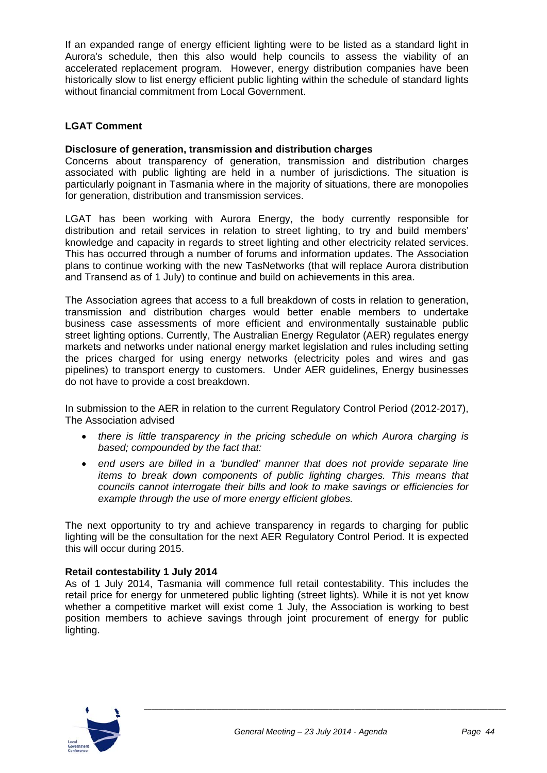#### Annexure 10 - Item D4 - July 2014

If an expanded range of energy efficient lighting were to be listed as a standard light in Aurora's schedule, then this also would help councils to assess the viability of an accelerated replacement program. However, energy distribution companies have been historically slow to list energy efficient public lighting within the schedule of standard lights without financial commitment from Local Government.

#### **LGAT Comment**

#### **Disclosure of generation, transmission and distribution charges**

Concerns about transparency of generation, transmission and distribution charges associated with public lighting are held in a number of jurisdictions. The situation is particularly poignant in Tasmania where in the majority of situations, there are monopolies for generation, distribution and transmission services.

LGAT has been working with Aurora Energy, the body currently responsible for distribution and retail services in relation to street lighting, to try and build members' knowledge and capacity in regards to street lighting and other electricity related services. This has occurred through a number of forums and information updates. The Association plans to continue working with the new TasNetworks (that will replace Aurora distribution and Transend as of 1 July) to continue and build on achievements in this area.

The Association agrees that access to a full breakdown of costs in relation to generation, transmission and distribution charges would better enable members to undertake business case assessments of more efficient and environmentally sustainable public street lighting options. Currently, The Australian Energy Regulator (AER) regulates energy markets and networks under national energy market legislation and rules including setting the prices charged for using energy networks (electricity poles and wires and gas pipelines) to transport energy to customers. Under AER guidelines, Energy businesses do not have to provide a cost breakdown.

In submission to the AER in relation to the current Regulatory Control Period (2012-2017), The Association advised

- *there is little transparency in the pricing schedule on which Aurora charging is based; compounded by the fact that:*
- *end users are billed in a 'bundled' manner that does not provide separate line items to break down components of public lighting charges. This means that councils cannot interrogate their bills and look to make savings or efficiencies for example through the use of more energy efficient globes.*

The next opportunity to try and achieve transparency in regards to charging for public lighting will be the consultation for the next AER Regulatory Control Period. It is expected this will occur during 2015.

#### **Retail contestability 1 July 2014**

As of 1 July 2014, Tasmania will commence full retail contestability. This includes the retail price for energy for unmetered public lighting (street lights). While it is not yet know whether a competitive market will exist come 1 July, the Association is working to best position members to achieve savings through joint procurement of energy for public lighting.

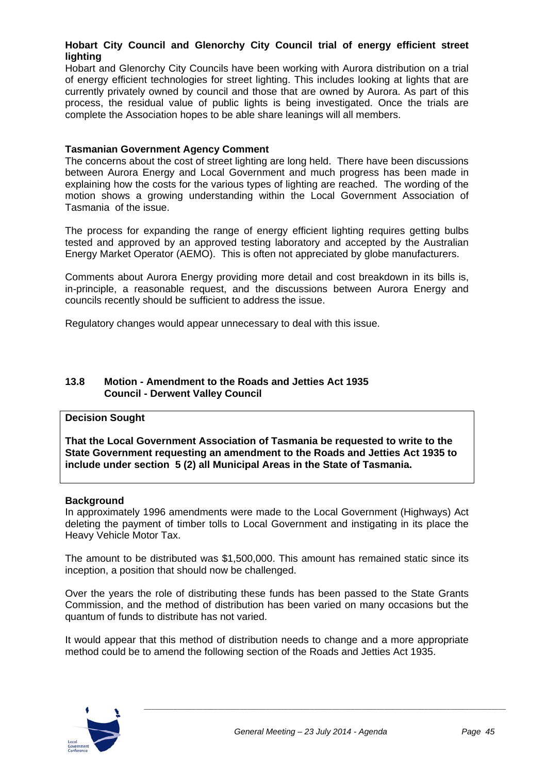#### **Hobart City Council and Glenorchy City Council trial of energy efficient street lighting**

Hobart and Glenorchy City Councils have been working with Aurora distribution on a trial of energy efficient technologies for street lighting. This includes looking at lights that are currently privately owned by council and those that are owned by Aurora. As part of this process, the residual value of public lights is being investigated. Once the trials are complete the Association hopes to be able share leanings will all members.

#### **Tasmanian Government Agency Comment**

The concerns about the cost of street lighting are long held. There have been discussions between Aurora Energy and Local Government and much progress has been made in explaining how the costs for the various types of lighting are reached. The wording of the motion shows a growing understanding within the Local Government Association of Tasmania of the issue.

The process for expanding the range of energy efficient lighting requires getting bulbs tested and approved by an approved testing laboratory and accepted by the Australian Energy Market Operator (AEMO). This is often not appreciated by globe manufacturers.

Comments about Aurora Energy providing more detail and cost breakdown in its bills is, in-principle, a reasonable request, and the discussions between Aurora Energy and councils recently should be sufficient to address the issue.

Regulatory changes would appear unnecessary to deal with this issue.

#### **13.8 Motion - Amendment to the Roads and Jetties Act 1935 Council - Derwent Valley Council**

#### **Decision Sought**

**That the Local Government Association of Tasmania be requested to write to the State Government requesting an amendment to the Roads and Jetties Act 1935 to include under section 5 (2) all Municipal Areas in the State of Tasmania.** 

#### **Background**

In approximately 1996 amendments were made to the Local Government (Highways) Act deleting the payment of timber tolls to Local Government and instigating in its place the Heavy Vehicle Motor Tax.

The amount to be distributed was \$1,500,000. This amount has remained static since its inception, a position that should now be challenged.

Over the years the role of distributing these funds has been passed to the State Grants Commission, and the method of distribution has been varied on many occasions but the quantum of funds to distribute has not varied.

It would appear that this method of distribution needs to change and a more appropriate method could be to amend the following section of the Roads and Jetties Act 1935.

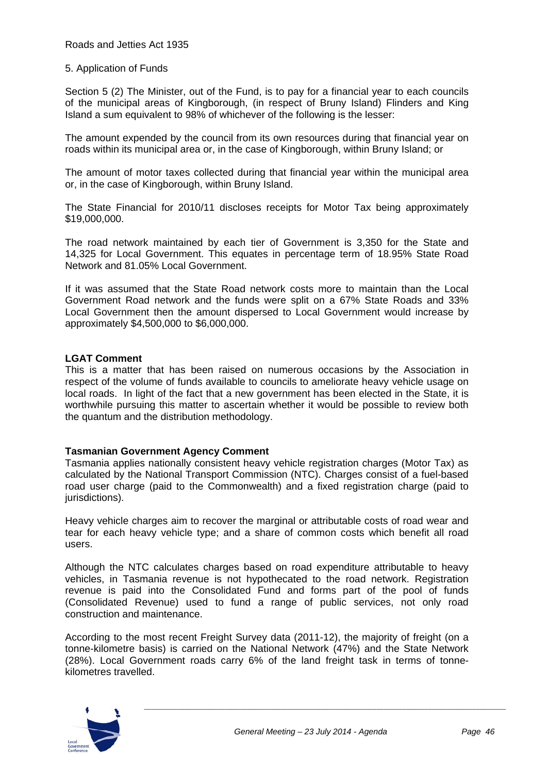Roads and Jetties Act 1935

#### 5. Application of Funds

Section 5 (2) The Minister, out of the Fund, is to pay for a financial year to each councils of the municipal areas of Kingborough, (in respect of Bruny Island) Flinders and King Island a sum equivalent to 98% of whichever of the following is the lesser:

The amount expended by the council from its own resources during that financial year on roads within its municipal area or, in the case of Kingborough, within Bruny Island; or

The amount of motor taxes collected during that financial year within the municipal area or, in the case of Kingborough, within Bruny Island.

The State Financial for 2010/11 discloses receipts for Motor Tax being approximately \$19,000,000.

The road network maintained by each tier of Government is 3,350 for the State and 14,325 for Local Government. This equates in percentage term of 18.95% State Road Network and 81.05% Local Government.

If it was assumed that the State Road network costs more to maintain than the Local Government Road network and the funds were split on a 67% State Roads and 33% Local Government then the amount dispersed to Local Government would increase by approximately \$4,500,000 to \$6,000,000.

#### **LGAT Comment**

This is a matter that has been raised on numerous occasions by the Association in respect of the volume of funds available to councils to ameliorate heavy vehicle usage on local roads. In light of the fact that a new government has been elected in the State, it is worthwhile pursuing this matter to ascertain whether it would be possible to review both the quantum and the distribution methodology.

#### **Tasmanian Government Agency Comment**

Tasmania applies nationally consistent heavy vehicle registration charges (Motor Tax) as calculated by the National Transport Commission (NTC). Charges consist of a fuel-based road user charge (paid to the Commonwealth) and a fixed registration charge (paid to jurisdictions).

Heavy vehicle charges aim to recover the marginal or attributable costs of road wear and tear for each heavy vehicle type; and a share of common costs which benefit all road users.

Although the NTC calculates charges based on road expenditure attributable to heavy vehicles, in Tasmania revenue is not hypothecated to the road network. Registration revenue is paid into the Consolidated Fund and forms part of the pool of funds (Consolidated Revenue) used to fund a range of public services, not only road construction and maintenance.

According to the most recent Freight Survey data (2011-12), the majority of freight (on a tonne-kilometre basis) is carried on the National Network (47%) and the State Network (28%). Local Government roads carry 6% of the land freight task in terms of tonnekilometres travelled.

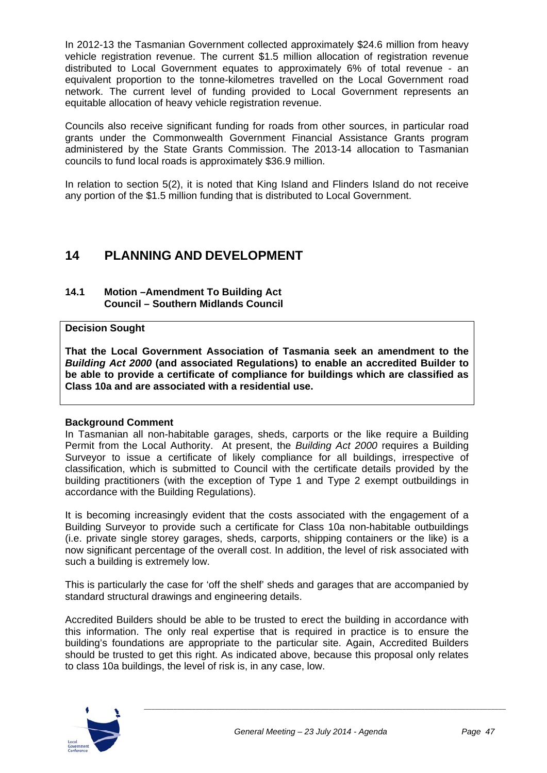#### Annexure 10 - Item D4 - July 2014

In 2012-13 the Tasmanian Government collected approximately \$24.6 million from heavy vehicle registration revenue. The current \$1.5 million allocation of registration revenue distributed to Local Government equates to approximately 6% of total revenue - an equivalent proportion to the tonne-kilometres travelled on the Local Government road network. The current level of funding provided to Local Government represents an equitable allocation of heavy vehicle registration revenue.

Councils also receive significant funding for roads from other sources, in particular road grants under the Commonwealth Government Financial Assistance Grants program administered by the State Grants Commission. The 2013-14 allocation to Tasmanian councils to fund local roads is approximately \$36.9 million.

In relation to section 5(2), it is noted that King Island and Flinders Island do not receive any portion of the \$1.5 million funding that is distributed to Local Government.

## **14 PLANNING AND DEVELOPMENT**

#### **14.1 Motion –Amendment To Building Act Council – Southern Midlands Council**

#### **Decision Sought**

**That the Local Government Association of Tasmania seek an amendment to the**  *Building Act 2000* **(and associated Regulations) to enable an accredited Builder to be able to provide a certificate of compliance for buildings which are classified as Class 10a and are associated with a residential use.** 

#### **Background Comment**

In Tasmanian all non-habitable garages, sheds, carports or the like require a Building Permit from the Local Authority. At present, the *Building Act 2000* requires a Building Surveyor to issue a certificate of likely compliance for all buildings, irrespective of classification, which is submitted to Council with the certificate details provided by the building practitioners (with the exception of Type 1 and Type 2 exempt outbuildings in accordance with the Building Regulations).

It is becoming increasingly evident that the costs associated with the engagement of a Building Surveyor to provide such a certificate for Class 10a non-habitable outbuildings (i.e. private single storey garages, sheds, carports, shipping containers or the like) is a now significant percentage of the overall cost. In addition, the level of risk associated with such a building is extremely low.

This is particularly the case for 'off the shelf' sheds and garages that are accompanied by standard structural drawings and engineering details.

Accredited Builders should be able to be trusted to erect the building in accordance with this information. The only real expertise that is required in practice is to ensure the building's foundations are appropriate to the particular site. Again, Accredited Builders should be trusted to get this right. As indicated above, because this proposal only relates to class 10a buildings, the level of risk is, in any case, low.

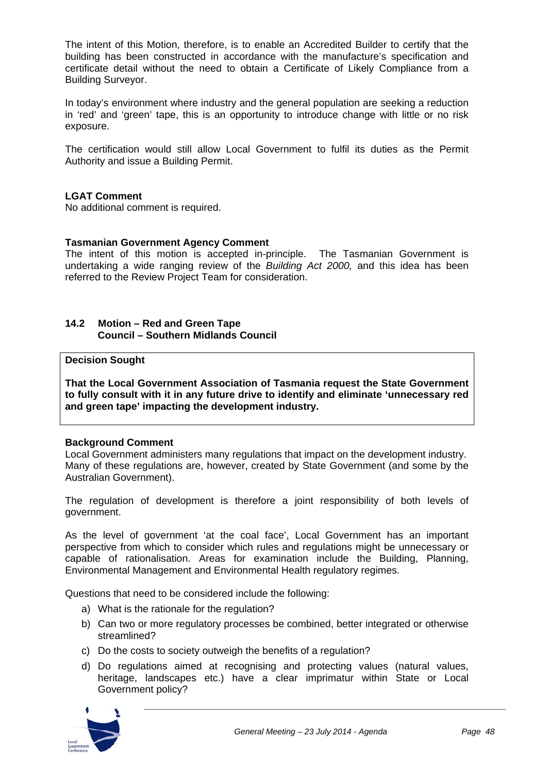The intent of this Motion, therefore, is to enable an Accredited Builder to certify that the building has been constructed in accordance with the manufacture's specification and certificate detail without the need to obtain a Certificate of Likely Compliance from a Building Surveyor.

In today's environment where industry and the general population are seeking a reduction in 'red' and 'green' tape, this is an opportunity to introduce change with little or no risk exposure.

The certification would still allow Local Government to fulfil its duties as the Permit Authority and issue a Building Permit.

#### **LGAT Comment**

No additional comment is required.

#### **Tasmanian Government Agency Comment**

The intent of this motion is accepted in-principle. The Tasmanian Government is undertaking a wide ranging review of the *Building Act 2000,* and this idea has been referred to the Review Project Team for consideration.

#### **14.2 Motion – Red and Green Tape Council – Southern Midlands Council**

#### **Decision Sought**

**That the Local Government Association of Tasmania request the State Government to fully consult with it in any future drive to identify and eliminate 'unnecessary red and green tape' impacting the development industry.** 

#### **Background Comment**

Local Government administers many regulations that impact on the development industry. Many of these regulations are, however, created by State Government (and some by the Australian Government).

The regulation of development is therefore a joint responsibility of both levels of government.

As the level of government 'at the coal face', Local Government has an important perspective from which to consider which rules and regulations might be unnecessary or capable of rationalisation. Areas for examination include the Building, Planning, Environmental Management and Environmental Health regulatory regimes.

Questions that need to be considered include the following:

- a) What is the rationale for the regulation?
- b) Can two or more regulatory processes be combined, better integrated or otherwise streamlined?
- c) Do the costs to society outweigh the benefits of a regulation?
- d) Do regulations aimed at recognising and protecting values (natural values, heritage, landscapes etc.) have a clear imprimatur within State or Local Government policy?

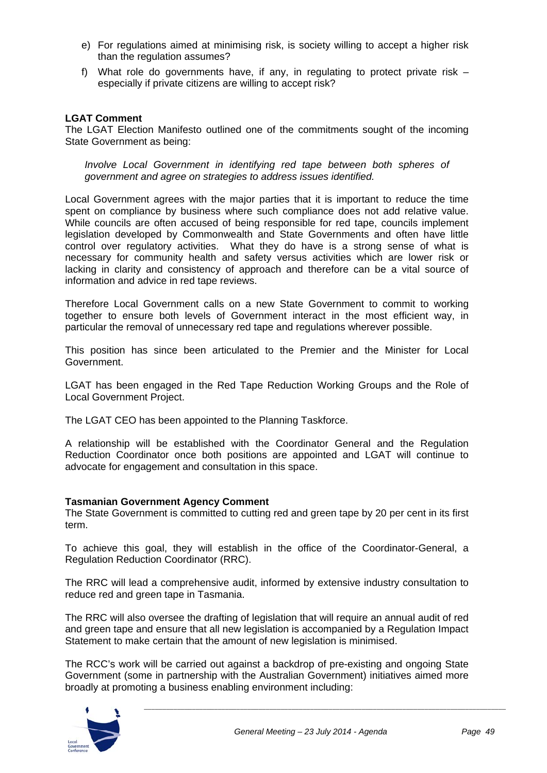- e) For regulations aimed at minimising risk, is society willing to accept a higher risk than the regulation assumes?
- f) What role do governments have, if any, in regulating to protect private risk especially if private citizens are willing to accept risk?

#### **LGAT Comment**

The LGAT Election Manifesto outlined one of the commitments sought of the incoming State Government as being:

*Involve Local Government in identifying red tape between both spheres of government and agree on strategies to address issues identified.* 

Local Government agrees with the major parties that it is important to reduce the time spent on compliance by business where such compliance does not add relative value. While councils are often accused of being responsible for red tape, councils implement legislation developed by Commonwealth and State Governments and often have little control over regulatory activities. What they do have is a strong sense of what is necessary for community health and safety versus activities which are lower risk or lacking in clarity and consistency of approach and therefore can be a vital source of information and advice in red tape reviews.

Therefore Local Government calls on a new State Government to commit to working together to ensure both levels of Government interact in the most efficient way, in particular the removal of unnecessary red tape and regulations wherever possible.

This position has since been articulated to the Premier and the Minister for Local Government.

LGAT has been engaged in the Red Tape Reduction Working Groups and the Role of Local Government Project.

The LGAT CEO has been appointed to the Planning Taskforce.

A relationship will be established with the Coordinator General and the Regulation Reduction Coordinator once both positions are appointed and LGAT will continue to advocate for engagement and consultation in this space.

#### **Tasmanian Government Agency Comment**

The State Government is committed to cutting red and green tape by 20 per cent in its first term.

To achieve this goal, they will establish in the office of the Coordinator-General, a Regulation Reduction Coordinator (RRC).

The RRC will lead a comprehensive audit, informed by extensive industry consultation to reduce red and green tape in Tasmania.

The RRC will also oversee the drafting of legislation that will require an annual audit of red and green tape and ensure that all new legislation is accompanied by a Regulation Impact Statement to make certain that the amount of new legislation is minimised.

The RCC's work will be carried out against a backdrop of pre-existing and ongoing State Government (some in partnership with the Australian Government) initiatives aimed more broadly at promoting a business enabling environment including:

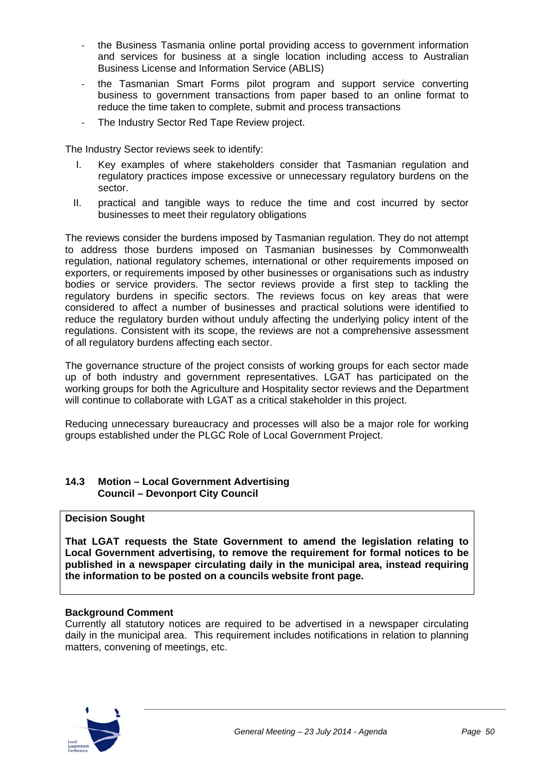- ‐ the Business Tasmania online portal providing access to government information and services for business at a single location including access to Australian Business License and Information Service (ABLIS)
- the Tasmanian Smart Forms pilot program and support service converting business to government transactions from paper based to an online format to reduce the time taken to complete, submit and process transactions
- ‐ The Industry Sector Red Tape Review project.

The Industry Sector reviews seek to identify:

- I. Key examples of where stakeholders consider that Tasmanian regulation and regulatory practices impose excessive or unnecessary regulatory burdens on the sector.
- II. practical and tangible ways to reduce the time and cost incurred by sector businesses to meet their regulatory obligations

The reviews consider the burdens imposed by Tasmanian regulation. They do not attempt to address those burdens imposed on Tasmanian businesses by Commonwealth regulation, national regulatory schemes, international or other requirements imposed on exporters, or requirements imposed by other businesses or organisations such as industry bodies or service providers. The sector reviews provide a first step to tackling the regulatory burdens in specific sectors. The reviews focus on key areas that were considered to affect a number of businesses and practical solutions were identified to reduce the regulatory burden without unduly affecting the underlying policy intent of the regulations. Consistent with its scope, the reviews are not a comprehensive assessment of all regulatory burdens affecting each sector.

The governance structure of the project consists of working groups for each sector made up of both industry and government representatives. LGAT has participated on the working groups for both the Agriculture and Hospitality sector reviews and the Department will continue to collaborate with LGAT as a critical stakeholder in this project.

Reducing unnecessary bureaucracy and processes will also be a major role for working groups established under the PLGC Role of Local Government Project.

#### **14.3 Motion – Local Government Advertising Council – Devonport City Council**

#### **Decision Sought**

**That LGAT requests the State Government to amend the legislation relating to Local Government advertising, to remove the requirement for formal notices to be published in a newspaper circulating daily in the municipal area, instead requiring the information to be posted on a councils website front page.** 

#### **Background Comment**

Currently all statutory notices are required to be advertised in a newspaper circulating daily in the municipal area. This requirement includes notifications in relation to planning matters, convening of meetings, etc.

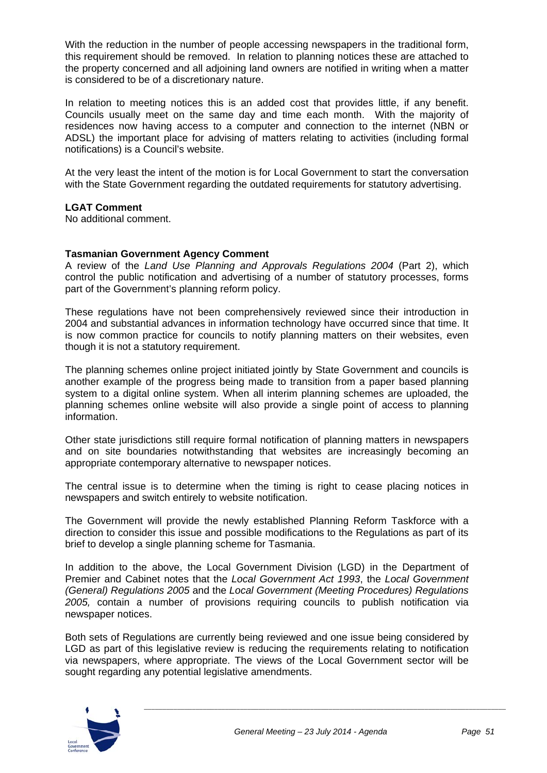With the reduction in the number of people accessing newspapers in the traditional form, this requirement should be removed. In relation to planning notices these are attached to the property concerned and all adjoining land owners are notified in writing when a matter is considered to be of a discretionary nature.

In relation to meeting notices this is an added cost that provides little, if any benefit. Councils usually meet on the same day and time each month. With the majority of residences now having access to a computer and connection to the internet (NBN or ADSL) the important place for advising of matters relating to activities (including formal notifications) is a Council's website.

At the very least the intent of the motion is for Local Government to start the conversation with the State Government regarding the outdated requirements for statutory advertising.

#### **LGAT Comment**

No additional comment.

#### **Tasmanian Government Agency Comment**

A review of the *Land Use Planning and Approvals Regulations 2004* (Part 2), which control the public notification and advertising of a number of statutory processes, forms part of the Government's planning reform policy.

These regulations have not been comprehensively reviewed since their introduction in 2004 and substantial advances in information technology have occurred since that time. It is now common practice for councils to notify planning matters on their websites, even though it is not a statutory requirement.

The planning schemes online project initiated jointly by State Government and councils is another example of the progress being made to transition from a paper based planning system to a digital online system. When all interim planning schemes are uploaded, the planning schemes online website will also provide a single point of access to planning information.

Other state jurisdictions still require formal notification of planning matters in newspapers and on site boundaries notwithstanding that websites are increasingly becoming an appropriate contemporary alternative to newspaper notices.

The central issue is to determine when the timing is right to cease placing notices in newspapers and switch entirely to website notification.

The Government will provide the newly established Planning Reform Taskforce with a direction to consider this issue and possible modifications to the Regulations as part of its brief to develop a single planning scheme for Tasmania.

In addition to the above, the Local Government Division (LGD) in the Department of Premier and Cabinet notes that the *Local Government Act 1993*, the *Local Government (General) Regulations 2005* and the *Local Government (Meeting Procedures) Regulations 2005,* contain a number of provisions requiring councils to publish notification via newspaper notices.

Both sets of Regulations are currently being reviewed and one issue being considered by LGD as part of this legislative review is reducing the requirements relating to notification via newspapers, where appropriate. The views of the Local Government sector will be sought regarding any potential legislative amendments.

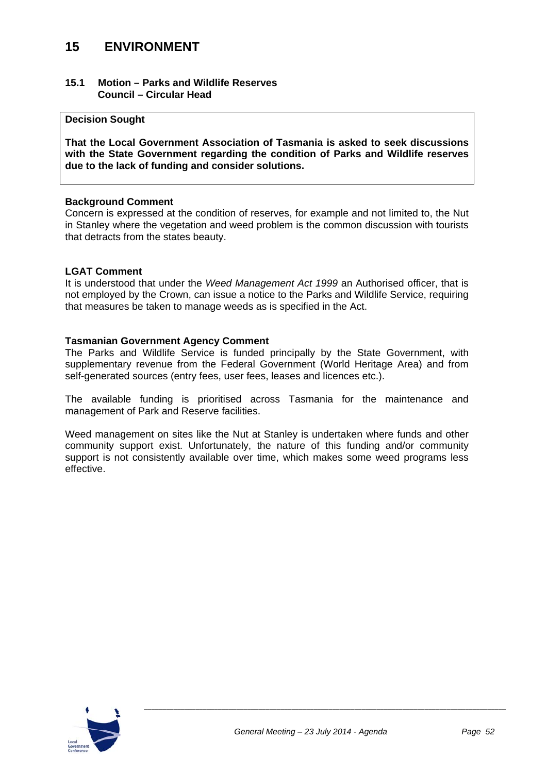## **15 ENVIRONMENT**

#### **15.1 Motion – Parks and Wildlife Reserves Council – Circular Head**

#### **Decision Sought**

**That the Local Government Association of Tasmania is asked to seek discussions with the State Government regarding the condition of Parks and Wildlife reserves due to the lack of funding and consider solutions.**

#### **Background Comment**

Concern is expressed at the condition of reserves, for example and not limited to, the Nut in Stanley where the vegetation and weed problem is the common discussion with tourists that detracts from the states beauty.

#### **LGAT Comment**

It is understood that under the *Weed Management Act 1999* an Authorised officer, that is not employed by the Crown, can issue a notice to the Parks and Wildlife Service, requiring that measures be taken to manage weeds as is specified in the Act.

#### **Tasmanian Government Agency Comment**

The Parks and Wildlife Service is funded principally by the State Government, with supplementary revenue from the Federal Government (World Heritage Area) and from self-generated sources (entry fees, user fees, leases and licences etc.).

The available funding is prioritised across Tasmania for the maintenance and management of Park and Reserve facilities.

Weed management on sites like the Nut at Stanley is undertaken where funds and other community support exist. Unfortunately, the nature of this funding and/or community support is not consistently available over time, which makes some weed programs less effective.

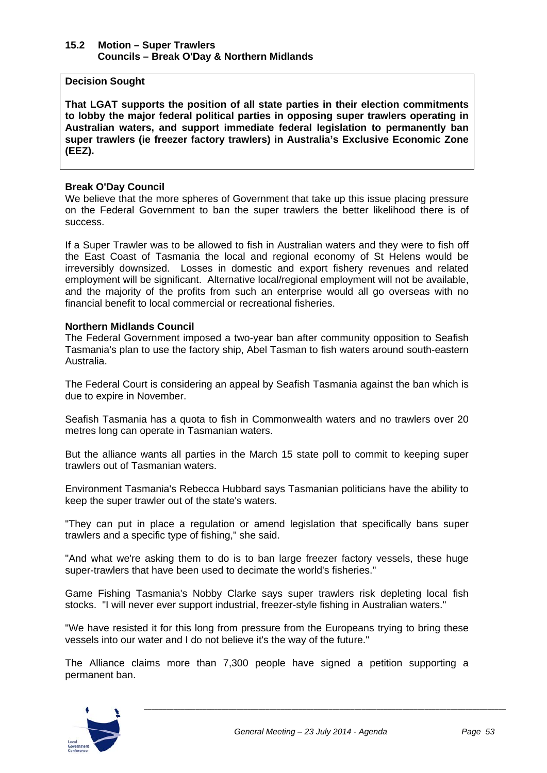#### **15.2 Motion – Super Trawlers Councils – Break O'Day & Northern Midlands**

#### **Decision Sought**

**That LGAT supports the position of all state parties in their election commitments to lobby the major federal political parties in opposing super trawlers operating in Australian waters, and support immediate federal legislation to permanently ban super trawlers (ie freezer factory trawlers) in Australia's Exclusive Economic Zone (EEZ).** 

#### **Break O'Day Council**

We believe that the more spheres of Government that take up this issue placing pressure on the Federal Government to ban the super trawlers the better likelihood there is of success.

If a Super Trawler was to be allowed to fish in Australian waters and they were to fish off the East Coast of Tasmania the local and regional economy of St Helens would be irreversibly downsized. Losses in domestic and export fishery revenues and related employment will be significant. Alternative local/regional employment will not be available, and the majority of the profits from such an enterprise would all go overseas with no financial benefit to local commercial or recreational fisheries.

#### **Northern Midlands Council**

The Federal Government imposed a two-year ban after community opposition to Seafish Tasmania's plan to use the factory ship, Abel Tasman to fish waters around south-eastern Australia.

The Federal Court is considering an appeal by Seafish Tasmania against the ban which is due to expire in November.

Seafish Tasmania has a quota to fish in Commonwealth waters and no trawlers over 20 metres long can operate in Tasmanian waters.

But the alliance wants all parties in the March 15 state poll to commit to keeping super trawlers out of Tasmanian waters.

Environment Tasmania's Rebecca Hubbard says Tasmanian politicians have the ability to keep the super trawler out of the state's waters.

"They can put in place a regulation or amend legislation that specifically bans super trawlers and a specific type of fishing," she said.

"And what we're asking them to do is to ban large freezer factory vessels, these huge super-trawlers that have been used to decimate the world's fisheries."

Game Fishing Tasmania's Nobby Clarke says super trawlers risk depleting local fish stocks. "I will never ever support industrial, freezer-style fishing in Australian waters."

"We have resisted it for this long from pressure from the Europeans trying to bring these vessels into our water and I do not believe it's the way of the future."

The Alliance claims more than 7,300 people have signed a petition supporting a permanent ban.

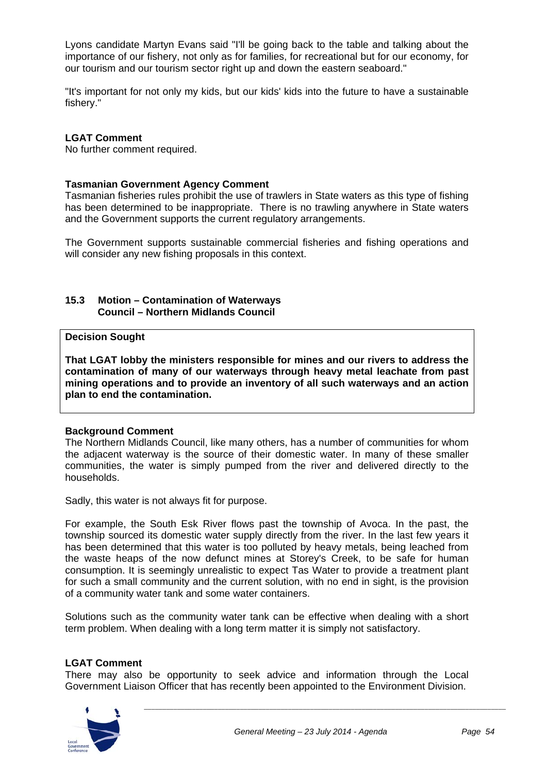Lyons candidate Martyn Evans said "I'll be going back to the table and talking about the importance of our fishery, not only as for families, for recreational but for our economy, for our tourism and our tourism sector right up and down the eastern seaboard."

"It's important for not only my kids, but our kids' kids into the future to have a sustainable fishery."

#### **LGAT Comment**

No further comment required.

#### **Tasmanian Government Agency Comment**

Tasmanian fisheries rules prohibit the use of trawlers in State waters as this type of fishing has been determined to be inappropriate. There is no trawling anywhere in State waters and the Government supports the current regulatory arrangements.

The Government supports sustainable commercial fisheries and fishing operations and will consider any new fishing proposals in this context.

#### **15.3 Motion – Contamination of Waterways Council – Northern Midlands Council**

#### **Decision Sought**

**That LGAT lobby the ministers responsible for mines and our rivers to address the contamination of many of our waterways through heavy metal leachate from past mining operations and to provide an inventory of all such waterways and an action plan to end the contamination.** 

#### **Background Comment**

The Northern Midlands Council, like many others, has a number of communities for whom the adjacent waterway is the source of their domestic water. In many of these smaller communities, the water is simply pumped from the river and delivered directly to the households.

Sadly, this water is not always fit for purpose.

For example, the South Esk River flows past the township of Avoca. In the past, the township sourced its domestic water supply directly from the river. In the last few years it has been determined that this water is too polluted by heavy metals, being leached from the waste heaps of the now defunct mines at Storey's Creek, to be safe for human consumption. It is seemingly unrealistic to expect Tas Water to provide a treatment plant for such a small community and the current solution, with no end in sight, is the provision of a community water tank and some water containers.

Solutions such as the community water tank can be effective when dealing with a short term problem. When dealing with a long term matter it is simply not satisfactory.

#### **LGAT Comment**

There may also be opportunity to seek advice and information through the Local Government Liaison Officer that has recently been appointed to the Environment Division.

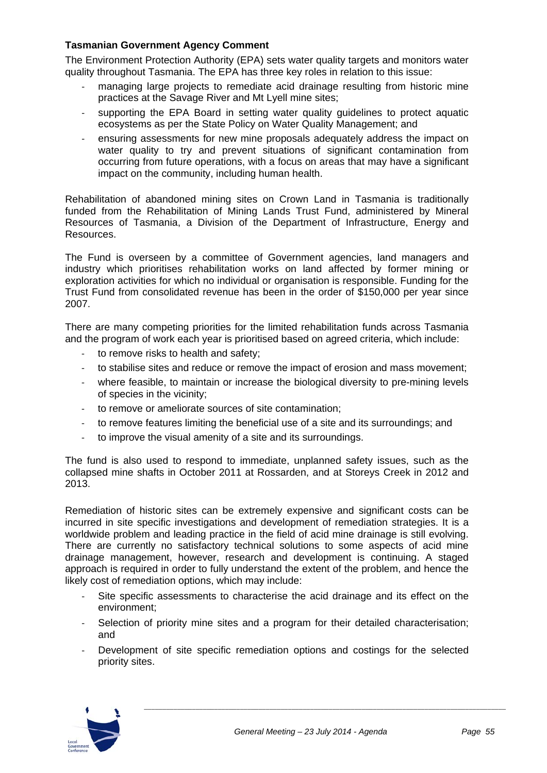#### **Tasmanian Government Agency Comment**

The Environment Protection Authority (EPA) sets water quality targets and monitors water quality throughout Tasmania. The EPA has three key roles in relation to this issue:

- ‐ managing large projects to remediate acid drainage resulting from historic mine practices at the Savage River and Mt Lyell mine sites;
- ‐ supporting the EPA Board in setting water quality guidelines to protect aquatic ecosystems as per the State Policy on Water Quality Management; and
- ‐ ensuring assessments for new mine proposals adequately address the impact on water quality to try and prevent situations of significant contamination from occurring from future operations, with a focus on areas that may have a significant impact on the community, including human health.

Rehabilitation of abandoned mining sites on Crown Land in Tasmania is traditionally funded from the Rehabilitation of Mining Lands Trust Fund, administered by Mineral Resources of Tasmania, a Division of the Department of Infrastructure, Energy and Resources.

The Fund is overseen by a committee of Government agencies, land managers and industry which prioritises rehabilitation works on land affected by former mining or exploration activities for which no individual or organisation is responsible. Funding for the Trust Fund from consolidated revenue has been in the order of \$150,000 per year since 2007.

There are many competing priorities for the limited rehabilitation funds across Tasmania and the program of work each year is prioritised based on agreed criteria, which include:

- to remove risks to health and safety:
- ‐ to stabilise sites and reduce or remove the impact of erosion and mass movement;
- where feasible, to maintain or increase the biological diversity to pre-mining levels of species in the vicinity;
- ‐ to remove or ameliorate sources of site contamination;
- ‐ to remove features limiting the beneficial use of a site and its surroundings; and
- ‐ to improve the visual amenity of a site and its surroundings.

The fund is also used to respond to immediate, unplanned safety issues, such as the collapsed mine shafts in October 2011 at Rossarden, and at Storeys Creek in 2012 and 2013.

Remediation of historic sites can be extremely expensive and significant costs can be incurred in site specific investigations and development of remediation strategies. It is a worldwide problem and leading practice in the field of acid mine drainage is still evolving. There are currently no satisfactory technical solutions to some aspects of acid mine drainage management, however, research and development is continuing. A staged approach is required in order to fully understand the extent of the problem, and hence the likely cost of remediation options, which may include:

- Site specific assessments to characterise the acid drainage and its effect on the environment;
- Selection of priority mine sites and a program for their detailed characterisation; and
- ‐ Development of site specific remediation options and costings for the selected priority sites.

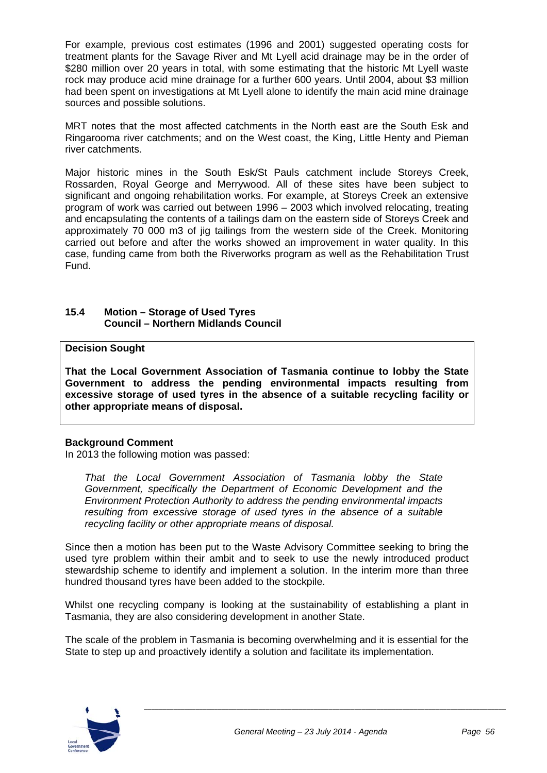#### Annexure 10 - Item D4 - July 2014

For example, previous cost estimates (1996 and 2001) suggested operating costs for treatment plants for the Savage River and Mt Lyell acid drainage may be in the order of \$280 million over 20 years in total, with some estimating that the historic Mt Lyell waste rock may produce acid mine drainage for a further 600 years. Until 2004, about \$3 million had been spent on investigations at Mt Lyell alone to identify the main acid mine drainage sources and possible solutions.

MRT notes that the most affected catchments in the North east are the South Esk and Ringarooma river catchments; and on the West coast, the King, Little Henty and Pieman river catchments.

Major historic mines in the South Esk/St Pauls catchment include Storeys Creek, Rossarden, Royal George and Merrywood. All of these sites have been subject to significant and ongoing rehabilitation works. For example, at Storeys Creek an extensive program of work was carried out between 1996 – 2003 which involved relocating, treating and encapsulating the contents of a tailings dam on the eastern side of Storeys Creek and approximately 70 000 m3 of jig tailings from the western side of the Creek. Monitoring carried out before and after the works showed an improvement in water quality. In this case, funding came from both the Riverworks program as well as the Rehabilitation Trust Fund.

#### **15.4 Motion – Storage of Used Tyres Council – Northern Midlands Council**

#### **Decision Sought**

**That the Local Government Association of Tasmania continue to lobby the State Government to address the pending environmental impacts resulting from excessive storage of used tyres in the absence of a suitable recycling facility or other appropriate means of disposal.** 

#### **Background Comment**

In 2013 the following motion was passed:

*That the Local Government Association of Tasmania lobby the State Government, specifically the Department of Economic Development and the Environment Protection Authority to address the pending environmental impacts resulting from excessive storage of used tyres in the absence of a suitable recycling facility or other appropriate means of disposal.* 

Since then a motion has been put to the Waste Advisory Committee seeking to bring the used tyre problem within their ambit and to seek to use the newly introduced product stewardship scheme to identify and implement a solution. In the interim more than three hundred thousand tyres have been added to the stockpile.

Whilst one recycling company is looking at the sustainability of establishing a plant in Tasmania, they are also considering development in another State.

The scale of the problem in Tasmania is becoming overwhelming and it is essential for the State to step up and proactively identify a solution and facilitate its implementation.

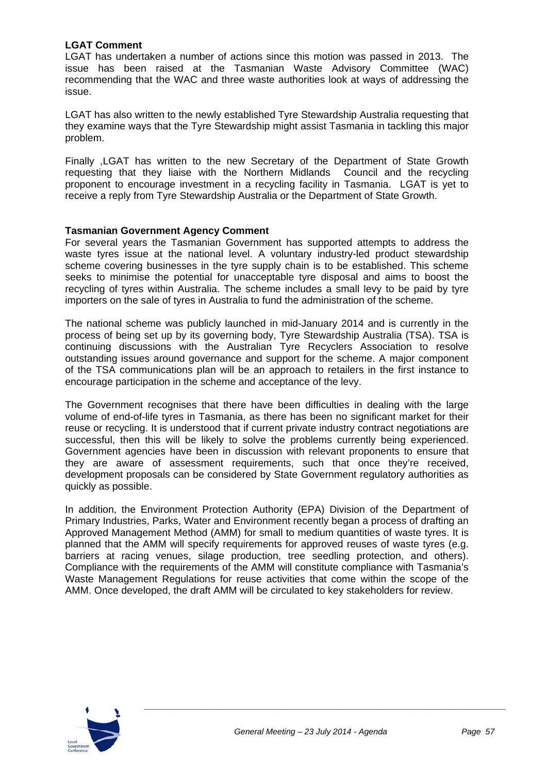#### **LGAT Comment**

LGAT has undertaken a number of actions since this motion was passed in 2013. The issue has been raised at the Tasmanian Waste Advisory Committee (WAC) recommending that the WAC and three waste authorities look at ways of addressing the issue.

LGAT has also written to the newly established Tyre Stewardship Australia requesting that they examine ways that the Tyre Stewardship might assist Tasmania in tackling this major problem.

Finally ,LGAT has written to the new Secretary of the Department of State Growth requesting that they liaise with the Northern Midlands Council and the recycling proponent to encourage investment in a recycling facility in Tasmania. LGAT is yet to receive a reply from Tyre Stewardship Australia or the Department of State Growth.

#### **Tasmanian Government Agency Comment**

For several years the Tasmanian Government has supported attempts to address the waste tyres issue at the national level. A voluntary industry-led product stewardship scheme covering businesses in the tyre supply chain is to be established. This scheme seeks to minimise the potential for unacceptable tyre disposal and aims to boost the recycling of tyres within Australia. The scheme includes a small levy to be paid by tyre importers on the sale of tyres in Australia to fund the administration of the scheme.

The national scheme was publicly launched in mid-January 2014 and is currently in the process of being set up by its governing body, Tyre Stewardship Australia (TSA). TSA is continuing discussions with the Australian Tyre Recyclers Association to resolve outstanding issues around governance and support for the scheme. A major component of the TSA communications plan will be an approach to retailers in the first instance to encourage participation in the scheme and acceptance of the levy.

The Government recognises that there have been difficulties in dealing with the large volume of end-of-life tyres in Tasmania, as there has been no significant market for their reuse or recycling. It is understood that if current private industry contract negotiations are successful, then this will be likely to solve the problems currently being experienced. Government agencies have been in discussion with relevant proponents to ensure that they are aware of assessment requirements, such that once they're received, development proposals can be considered by State Government regulatory authorities as quickly as possible.

In addition, the Environment Protection Authority (EPA) Division of the Department of Primary Industries, Parks, Water and Environment recently began a process of drafting an Approved Management Method (AMM) for small to medium quantities of waste tyres. It is planned that the AMM will specify requirements for approved reuses of waste tyres (e.g. barriers at racing venues, silage production, tree seedling protection, and others). Compliance with the requirements of the AMM will constitute compliance with Tasmania's Waste Management Regulations for reuse activities that come within the scope of the AMM. Once developed, the draft AMM will be circulated to key stakeholders for review.

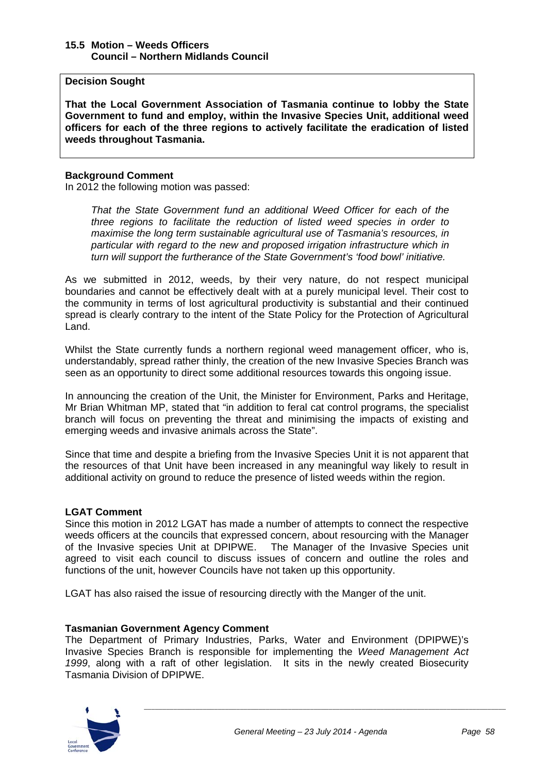#### **15.5 Motion – Weeds Officers Council – Northern Midlands Council**

**Decision Sought** 

**That the Local Government Association of Tasmania continue to lobby the State Government to fund and employ, within the Invasive Species Unit, additional weed officers for each of the three regions to actively facilitate the eradication of listed weeds throughout Tasmania.** 

#### **Background Comment**

In 2012 the following motion was passed:

*That the State Government fund an additional Weed Officer for each of the three regions to facilitate the reduction of listed weed species in order to maximise the long term sustainable agricultural use of Tasmania's resources, in particular with regard to the new and proposed irrigation infrastructure which in turn will support the furtherance of the State Government's 'food bowl' initiative.* 

As we submitted in 2012, weeds, by their very nature, do not respect municipal boundaries and cannot be effectively dealt with at a purely municipal level. Their cost to the community in terms of lost agricultural productivity is substantial and their continued spread is clearly contrary to the intent of the State Policy for the Protection of Agricultural Land.

Whilst the State currently funds a northern regional weed management officer, who is, understandably, spread rather thinly, the creation of the new Invasive Species Branch was seen as an opportunity to direct some additional resources towards this ongoing issue.

In announcing the creation of the Unit, the Minister for Environment, Parks and Heritage, Mr Brian Whitman MP, stated that "in addition to feral cat control programs, the specialist branch will focus on preventing the threat and minimising the impacts of existing and emerging weeds and invasive animals across the State".

Since that time and despite a briefing from the Invasive Species Unit it is not apparent that the resources of that Unit have been increased in any meaningful way likely to result in additional activity on ground to reduce the presence of listed weeds within the region.

#### **LGAT Comment**

Since this motion in 2012 LGAT has made a number of attempts to connect the respective weeds officers at the councils that expressed concern, about resourcing with the Manager of the Invasive species Unit at DPIPWE. The Manager of the Invasive Species unit agreed to visit each council to discuss issues of concern and outline the roles and functions of the unit, however Councils have not taken up this opportunity.

LGAT has also raised the issue of resourcing directly with the Manger of the unit.

#### **Tasmanian Government Agency Comment**

The Department of Primary Industries, Parks, Water and Environment (DPIPWE)'s Invasive Species Branch is responsible for implementing the *Weed Management Act 1999*, along with a raft of other legislation. It sits in the newly created Biosecurity Tasmania Division of DPIPWE.

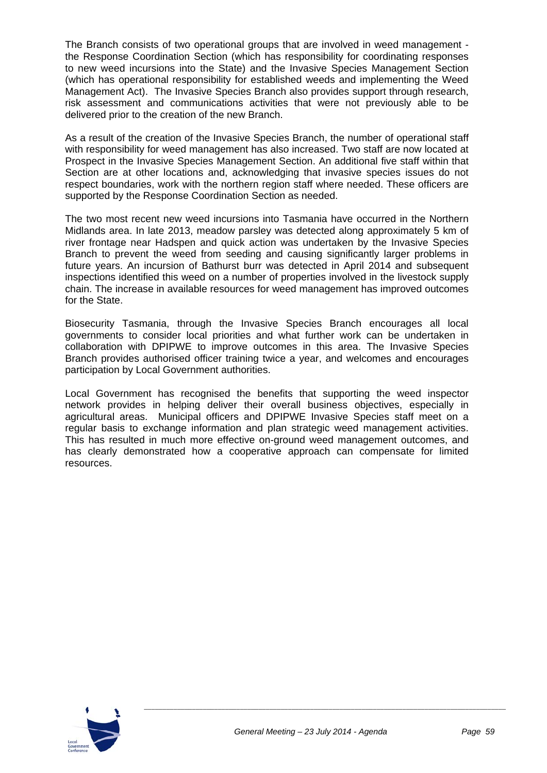#### Annexure 10 - Item D4 - July 2014

The Branch consists of two operational groups that are involved in weed management the Response Coordination Section (which has responsibility for coordinating responses to new weed incursions into the State) and the Invasive Species Management Section (which has operational responsibility for established weeds and implementing the Weed Management Act). The Invasive Species Branch also provides support through research, risk assessment and communications activities that were not previously able to be delivered prior to the creation of the new Branch.

As a result of the creation of the Invasive Species Branch, the number of operational staff with responsibility for weed management has also increased. Two staff are now located at Prospect in the Invasive Species Management Section. An additional five staff within that Section are at other locations and, acknowledging that invasive species issues do not respect boundaries, work with the northern region staff where needed. These officers are supported by the Response Coordination Section as needed.

The two most recent new weed incursions into Tasmania have occurred in the Northern Midlands area. In late 2013, meadow parsley was detected along approximately 5 km of river frontage near Hadspen and quick action was undertaken by the Invasive Species Branch to prevent the weed from seeding and causing significantly larger problems in future years. An incursion of Bathurst burr was detected in April 2014 and subsequent inspections identified this weed on a number of properties involved in the livestock supply chain. The increase in available resources for weed management has improved outcomes for the State.

Biosecurity Tasmania, through the Invasive Species Branch encourages all local governments to consider local priorities and what further work can be undertaken in collaboration with DPIPWE to improve outcomes in this area. The Invasive Species Branch provides authorised officer training twice a year, and welcomes and encourages participation by Local Government authorities.

Local Government has recognised the benefits that supporting the weed inspector network provides in helping deliver their overall business objectives, especially in agricultural areas. Municipal officers and DPIPWE Invasive Species staff meet on a regular basis to exchange information and plan strategic weed management activities. This has resulted in much more effective on-ground weed management outcomes, and has clearly demonstrated how a cooperative approach can compensate for limited resources.

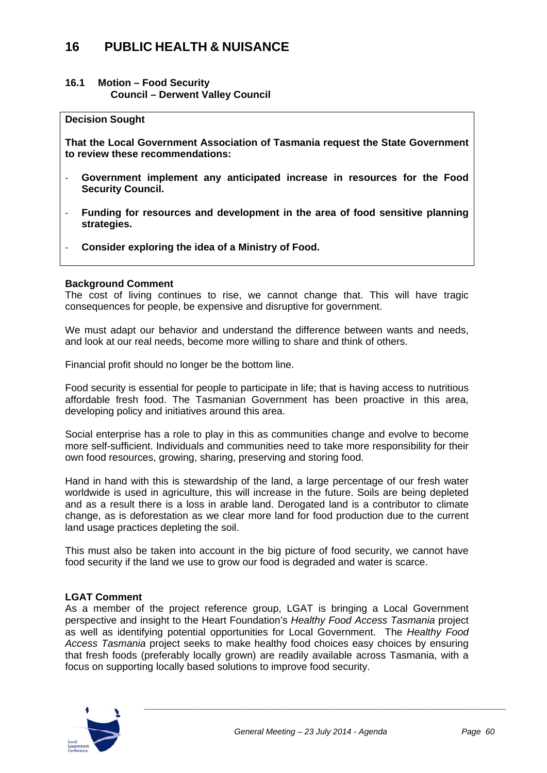## **16 PUBLIC HEALTH & NUISANCE**

#### **16.1 Motion – Food Security Council – Derwent Valley Council**

#### **Decision Sought**

**That the Local Government Association of Tasmania request the State Government to review these recommendations:** 

- ‐ **Government implement any anticipated increase in resources for the Food Security Council.**
- ‐ **Funding for resources and development in the area of food sensitive planning strategies.**
- ‐ **Consider exploring the idea of a Ministry of Food.**

#### **Background Comment**

The cost of living continues to rise, we cannot change that. This will have tragic consequences for people, be expensive and disruptive for government.

We must adapt our behavior and understand the difference between wants and needs. and look at our real needs, become more willing to share and think of others.

Financial profit should no longer be the bottom line.

Food security is essential for people to participate in life; that is having access to nutritious affordable fresh food. The Tasmanian Government has been proactive in this area, developing policy and initiatives around this area.

Social enterprise has a role to play in this as communities change and evolve to become more self-sufficient. Individuals and communities need to take more responsibility for their own food resources, growing, sharing, preserving and storing food.

Hand in hand with this is stewardship of the land, a large percentage of our fresh water worldwide is used in agriculture, this will increase in the future. Soils are being depleted and as a result there is a loss in arable land. Derogated land is a contributor to climate change, as is deforestation as we clear more land for food production due to the current land usage practices depleting the soil.

This must also be taken into account in the big picture of food security, we cannot have food security if the land we use to grow our food is degraded and water is scarce.

#### **LGAT Comment**

As a member of the project reference group, LGAT is bringing a Local Government perspective and insight to the Heart Foundation's *Healthy Food Access Tasmania* project as well as identifying potential opportunities for Local Government. The *Healthy Food Access Tasmania* project seeks to make healthy food choices easy choices by ensuring that fresh foods (preferably locally grown) are readily available across Tasmania, with a focus on supporting locally based solutions to improve food security.

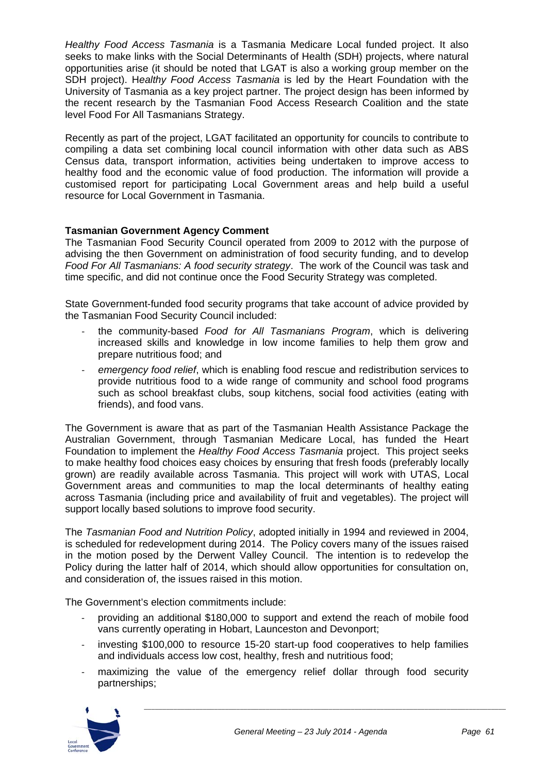*Healthy Food Access Tasmania* is a Tasmania Medicare Local funded project. It also seeks to make links with the Social Determinants of Health (SDH) projects, where natural opportunities arise (it should be noted that LGAT is also a working group member on the SDH project). H*ealthy Food Access Tasmania* is led by the Heart Foundation with the University of Tasmania as a key project partner. The project design has been informed by the recent research by the Tasmanian Food Access Research Coalition and the state level Food For All Tasmanians Strategy.

Recently as part of the project, LGAT facilitated an opportunity for councils to contribute to compiling a data set combining local council information with other data such as ABS Census data, transport information, activities being undertaken to improve access to healthy food and the economic value of food production. The information will provide a customised report for participating Local Government areas and help build a useful resource for Local Government in Tasmania.

#### **Tasmanian Government Agency Comment**

The Tasmanian Food Security Council operated from 2009 to 2012 with the purpose of advising the then Government on administration of food security funding, and to develop *Food For All Tasmanians: A food security strategy*. The work of the Council was task and time specific, and did not continue once the Food Security Strategy was completed.

State Government-funded food security programs that take account of advice provided by the Tasmanian Food Security Council included:

- ‐ the community-based *Food for All Tasmanians Program*, which is delivering increased skills and knowledge in low income families to help them grow and prepare nutritious food; and
- ‐ *emergency food relief*, which is enabling food rescue and redistribution services to provide nutritious food to a wide range of community and school food programs such as school breakfast clubs, soup kitchens, social food activities (eating with friends), and food vans.

The Government is aware that as part of the Tasmanian Health Assistance Package the Australian Government, through Tasmanian Medicare Local, has funded the Heart Foundation to implement the *Healthy Food Access Tasmania* project. This project seeks to make healthy food choices easy choices by ensuring that fresh foods (preferably locally grown) are readily available across Tasmania. This project will work with UTAS, Local Government areas and communities to map the local determinants of healthy eating across Tasmania (including price and availability of fruit and vegetables). The project will support locally based solutions to improve food security.

The *Tasmanian Food and Nutrition Policy*, adopted initially in 1994 and reviewed in 2004, is scheduled for redevelopment during 2014. The Policy covers many of the issues raised in the motion posed by the Derwent Valley Council. The intention is to redevelop the Policy during the latter half of 2014, which should allow opportunities for consultation on, and consideration of, the issues raised in this motion.

The Government's election commitments include:

- ‐ providing an additional \$180,000 to support and extend the reach of mobile food vans currently operating in Hobart, Launceston and Devonport;
- ‐ investing \$100,000 to resource 15-20 start-up food cooperatives to help families and individuals access low cost, healthy, fresh and nutritious food;
- ‐ maximizing the value of the emergency relief dollar through food security partnerships;

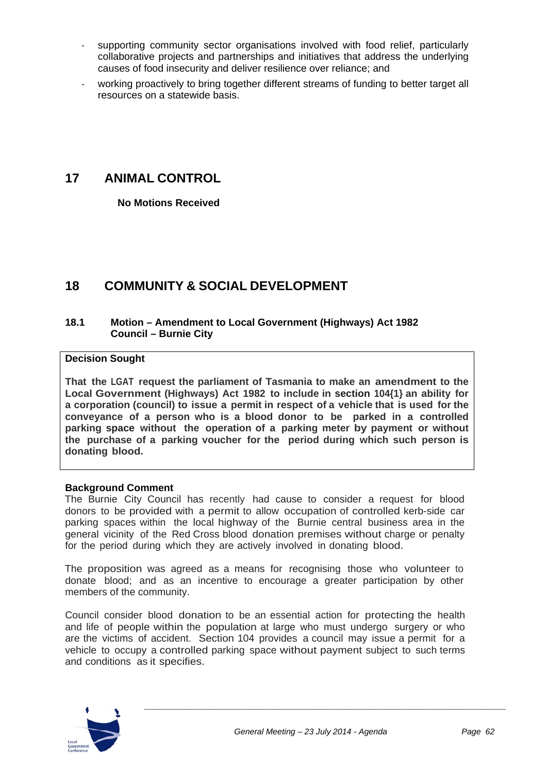- supporting community sector organisations involved with food relief, particularly collaborative projects and partnerships and initiatives that address the underlying causes of food insecurity and deliver resilience over reliance; and
- working proactively to bring together different streams of funding to better target all resources on a statewide basis.

## **17 ANIMAL CONTROL**

 **No Motions Received** 

## **18 COMMUNITY & SOCIAL DEVELOPMENT**

#### **18.1 Motion – Amendment to Local Government (Highways) Act 1982 Council – Burnie City**

#### **Decision Sought**

**That the LGAT request the parliament of Tasmania to make an amendment to the Local Government (Highways) Act 1982 to include in section 104{1} an ability for a corporation (council) to issue a permit in respect of a vehicle that is used for the conveyance of a person who is a blood donor to be parked in a controlled parking space without the operation of a parking meter by payment or without the purchase of a parking voucher for the period during which such person is donating blood.**

#### **Background Comment**

The Burnie City Council has recently had cause to consider a request for blood donors to be provided with a permit to allow occupation of controlled kerb-side car parking spaces within the local highway of the Burnie central business area in the general vicinity of the Red Cross blood donation premises without charge or penalty for the period during which they are actively involved in donating blood.

The proposition was agreed as a means for recognising those who volunteer to donate blood; and as an incentive to encourage a greater participation by other members of the community.

Council consider blood donation to be an essential action for protecting the health and life of people within the population at large who must undergo surgery or who are the victims of accident. Section 104 provides a council may issue a permit for a vehicle to occupy a controlled parking space without payment subject to such terms and conditions as it specifies.